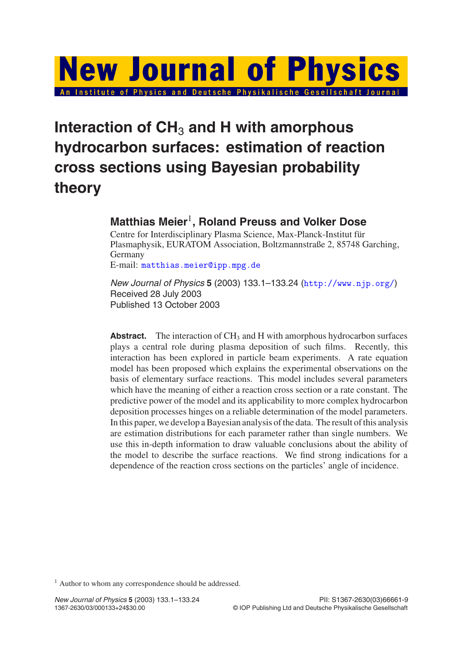# **New Journal of Physics** An Institute of Physics and Deutsche Physikalische Gesellschaft Journal

## **Interaction of CH**<sup>3</sup> **and H with amorphous hydrocarbon surfaces: estimation of reaction cross sections using Bayesian probability theory**

### **Matthias Meier**1**, Roland Preuss and Volker Dose**

Centre for Interdisciplinary Plasma Science, Max-Planck-Institut für Plasmaphysik, EURATOM Association, Boltzmannstraße 2, 85748 Garching, Germany

E-mail: <matthias.meier@ipp.mpg.de>

New Journal of Physics **5** (2003) 133.1–133.24 (<http://www.njp.org/>) Received 28 July 2003 Published 13 October 2003

**Abstract.** The interaction of  $CH_3$  and H with amorphous hydrocarbon surfaces plays a central role during plasma deposition of such films. Recently, this interaction has been explored in particle beam experiments. A rate equation model has been proposed which explains the experimental observations on the basis of elementary surface reactions. This model includes several parameters which have the meaning of either a reaction cross section or a rate constant. The predictive power of the model and its applicability to more complex hydrocarbon deposition processes hinges on a reliable determination of the model parameters. In this paper, we develop a Bayesian analysis of the data. The result of this analysis are estimation distributions for each parameter rather than single numbers. We use this in-depth information to draw valuable conclusions about the ability of the model to describe the surface reactions. We find strong indications for a dependence of the reaction cross sections on the particles' angle of incidence.

<sup>1</sup> Author to whom any correspondence should be addressed.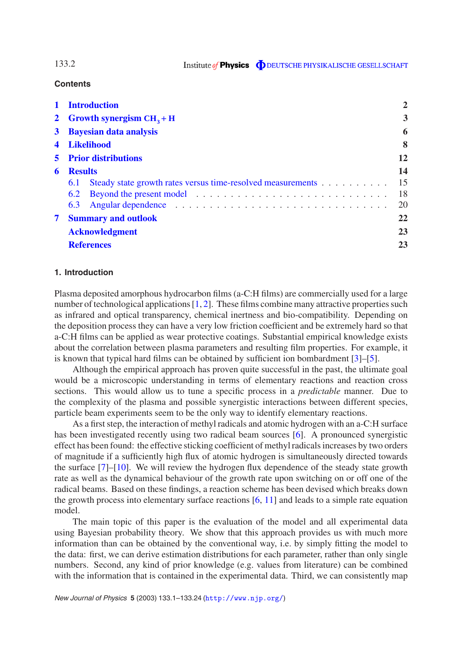**Contents**

| $\mathbf{1}$ | <b>Introduction</b>                                                |    |
|--------------|--------------------------------------------------------------------|----|
|              | 2 Growth synergism $CH3 + H$                                       | 3  |
|              | 3 Bayesian data analysis                                           | 6  |
| 4            | Likelihood                                                         | 8  |
|              | <b>5</b> Prior distributions                                       | 12 |
| 6            | <b>Results</b>                                                     | 14 |
|              | Steady state growth rates versus time-resolved measurements<br>6.1 | 15 |
|              |                                                                    | 18 |
|              |                                                                    | 20 |
|              | <b>Summary and outlook</b>                                         | 22 |
|              | <b>Acknowledgment</b>                                              | 23 |
|              | <b>References</b>                                                  | 23 |

#### <span id="page-1-0"></span>**1. Introduction**

Plasma deposited amorphous hydrocarbon films (a-C:H films) are commercially used for a large number of technological applications [\[1,](#page-22-2) [2\]](#page-22-3). These films combine many attractive properties such as infrared and optical transparency, chemical inertness and bio-compatibility. Depending on the deposition process they can have a very low friction coefficient and be extremely hard so that a-C:H films can be applied as wear protective coatings. Substantial empirical knowledge exists about the correlation between plasma parameters and resulting film properties. For example, it is known that typical hard films can be obtained by sufficient ion bombardment [\[3\]](#page-22-4)–[\[5\]](#page-22-5).

Although the empirical approach has proven quite successful in the past, the ultimate goal would be a microscopic understanding in terms of elementary reactions and reaction cross sections. This would allow us to tune a specific process in a *predictable* manner. Due to the complexity of the plasma and possible synergistic interactions between different species, particle beam experiments seem to be the only way to identify elementary reactions.

As a first step, the interaction of methyl radicals and atomic hydrogen with an a-C:H surface has been investigated recently using two radical beam sources [\[6\]](#page-22-6). A pronounced synergistic effect has been found: the effective sticking coefficient of methyl radicals increases by two orders of magnitude if a sufficiently high flux of atomic hydrogen is simultaneously directed towards the surface [\[7\]](#page-22-7)–[\[10\]](#page-22-8). We will review the hydrogen flux dependence of the steady state growth rate as well as the dynamical behaviour of the growth rate upon switching on or off one of the radical beams. Based on these findings, a reaction scheme has been devised which breaks down the growth process into elementary surface reactions [\[6,](#page-22-6) [11\]](#page-23-0) and leads to a simple rate equation model.

The main topic of this paper is the evaluation of the model and all experimental data using Bayesian probability theory. We show that this approach provides us with much more information than can be obtained by the conventional way, i.e. by simply fitting the model to the data: first, we can derive estimation distributions for each parameter, rather than only single numbers. Second, any kind of prior knowledge (e.g. values from literature) can be combined with the information that is contained in the experimental data. Third, we can consistently map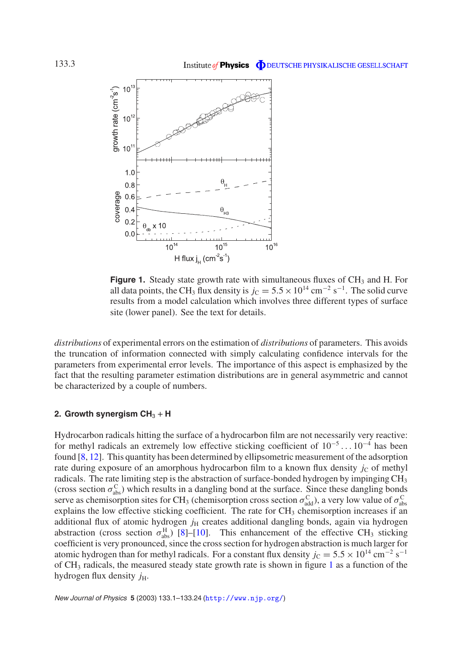<span id="page-2-1"></span>

**Figure 1.** Steady state growth rate with simultaneous fluxes of CH<sub>3</sub> and H. For all data points, the CH<sub>3</sub> flux density is  $j_C = 5.5 \times 10^{14}$  cm<sup>-2</sup> s<sup>-1</sup>. The solid curve results from a model calculation which involves three different types of surface site (lower panel). See the text for details.

*distributions* of experimental errors on the estimation of *distributions* of parameters. This avoids the truncation of information connected with simply calculating confidence intervals for the parameters from experimental error levels. The importance of this aspect is emphasized by the fact that the resulting parameter estimation distributions are in general asymmetric and cannot be characterized by a couple of numbers.

#### <span id="page-2-0"></span>2. Growth synergism  $CH<sub>3</sub> + H$

Hydrocarbon radicals hitting the surface of a hydrocarbon film are not necessarily very reactive: for methyl radicals an extremely low effective sticking coefficient of 10<sup>−</sup><sup>5</sup> ... 10<sup>−</sup><sup>4</sup> has been found [\[8,](#page-22-9) [12\]](#page-23-1). This quantity has been determined by ellipsometric measurement of the adsorption rate during exposure of an amorphous hydrocarbon film to a known flux density  $j<sub>C</sub>$  of methyl radicals. The rate limiting step is the abstraction of surface-bonded hydrogen by impinging CH<sub>3</sub> (cross section  $\sigma_{\text{abs}}^{\text{C}}$ ) which results in a dangling bond at the surface. Since these dangling bonds serve as chemisorption sites for CH<sub>3</sub> (chemisorption cross section  $\sigma_{\text{add}}^C$ ), a very low value of  $\sigma_{\text{abs}}^C$ explains the low effective sticking coefficient. The rate for  $CH<sub>3</sub>$  chemisorption increases if an additional flux of atomic hydrogen  $j_H$  creates additional dangling bonds, again via hydrogen abstraction (cross section  $\sigma_{\text{abs}}^{\text{H}}$ ) [\[8\]](#page-22-9)–[\[10\]](#page-22-8). This enhancement of the effective CH<sub>3</sub> sticking coefficient is very pronounced, since the cross section for hydrogen abstraction is much larger for atomic hydrogen than for methyl radicals. For a constant flux density  $j_C = 5.5 \times 10^{14}$  cm<sup>-2</sup> s<sup>-1</sup> of CH3 radicals, the measured steady state growth rate is shown in figure [1](#page-2-1) as a function of the hydrogen flux density  $j_{\text{H}}$ .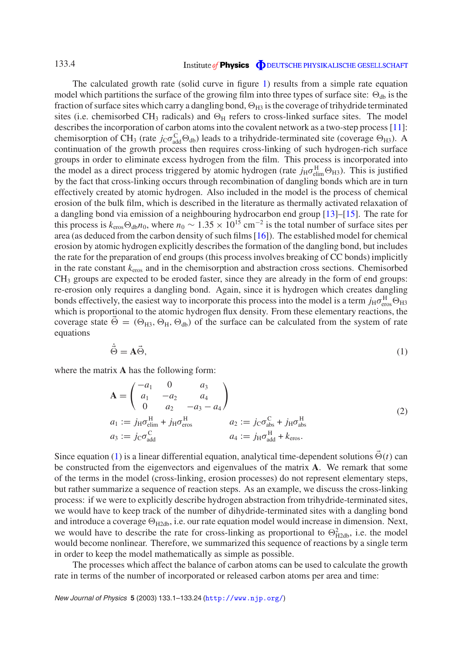#### Institute of Physics **ODEUTSCHE PHYSIKALISCHE GESELLSCHAFT**

The calculated growth rate (solid curve in figure [1\)](#page-2-1) results from a simple rate equation model which partitions the surface of the growing film into three types of surface site:  $\Theta_{db}$  is the fraction of surface sites which carry a dangling bond,  $\Theta_{H3}$  is the coverage of trihydride terminated sites (i.e. chemisorbed CH<sub>3</sub> radicals) and  $\Theta_H$  refers to cross-linked surface sites. The model describes the incorporation of carbon atoms into the covalent network as a two-step process [\[11\]](#page-23-0): chemisorption of CH<sub>3</sub> (rate  $j_C \sigma_{\text{add}}^C \Theta_{\text{db}}$ ) leads to a trihydride-terminated site (coverage  $\Theta_{\text{H3}}$ ). A continuation of the growth process then requires cross-linking of such hydrogen-rich surface groups in order to eliminate excess hydrogen from the film. This process is incorporated into the model as a direct process triggered by atomic hydrogen (rate  $j_H \sigma_{\text{elim}}^H \Theta_{H3}$ ). This is justified by the fact that cross-linking occurs through recombination of dangling bonds which are in turn effectively created by atomic hydrogen. Also included in the model is the process of chemical erosion of the bulk film, which is described in the literature as thermally activated relaxation of a dangling bond via emission of a neighbouring hydrocarbon end group [\[13\]](#page-23-2)–[\[15\]](#page-23-3). The rate for this process is  $k_{\text{eros}} \Theta_{\text{db}} n_0$ , where  $n_0 \sim 1.35 \times 10^{15} \text{ cm}^{-2}$  is the total number of surface sites per area (as deduced from the carbon density of such films [\[16\]](#page-23-4)). The established model for chemical erosion by atomic hydrogen explicitly describes the formation of the dangling bond, but includes the rate for the preparation of end groups (this process involves breaking of CC bonds) implicitly in the rate constant *k*eros and in the chemisorption and abstraction cross sections. Chemisorbed CH<sub>3</sub> groups are expected to be eroded faster, since they are already in the form of end groups: re-erosion only requires a dangling bond. Again, since it is hydrogen which creates dangling bonds effectively, the easiest way to incorporate this process into the model is a term  $j_H \sigma_{\text{eros}}^H \Theta_{H3}$ which is proportional to the atomic hydrogen flux density. From these elementary reactions, the coverage state  $\vec{\Theta} = (\Theta_{H3}, \Theta_H, \Theta_{db})$  of the surface can be calculated from the system of rate equations

$$
\dot{\vec{\Theta}} = \vec{A\Theta},\tag{1}
$$

<span id="page-3-0"></span>where the matrix **A** has the following form:

$$
\mathbf{A} = \begin{pmatrix} -a_1 & 0 & a_3 \\ a_1 & -a_2 & a_4 \\ 0 & a_2 & -a_3 - a_4 \end{pmatrix}
$$
  
\n
$$
a_1 := j_{\mathrm{H}} \sigma_{\mathrm{elim}}^{\mathrm{H}} + j_{\mathrm{H}} \sigma_{\mathrm{eros}}^{\mathrm{H}}
$$
  
\n
$$
a_3 := j_{\mathrm{C}} \sigma_{\mathrm{add}}^{\mathrm{C}}
$$
  
\n
$$
a_4 := j_{\mathrm{H}} \sigma_{\mathrm{add}}^{\mathrm{H}} + k_{\mathrm{eros}}.
$$
\n(2)

Since equation [\(1\)](#page-3-0) is a linear differential equation, analytical time-dependent solutions  $\vec{\Theta}(t)$  can be constructed from the eigenvectors and eigenvalues of the matrix **A**. We remark that some of the terms in the model (cross-linking, erosion processes) do not represent elementary steps, but rather summarize a sequence of reaction steps. As an example, we discuss the cross-linking process: if we were to explicitly describe hydrogen abstraction from trihydride-terminated sites, we would have to keep track of the number of dihydride-terminated sites with a dangling bond and introduce a coverage  $\Theta_{H2db}$ , i.e. our rate equation model would increase in dimension. Next, we would have to describe the rate for cross-linking as proportional to  $\Theta_{H2db}^2$ , i.e. the model would become nonlinear. Therefore, we summarized this sequence of reactions by a single term in order to keep the model mathematically as simple as possible.

The processes which affect the balance of carbon atoms can be used to calculate the growth rate in terms of the number of incorporated or released carbon atoms per area and time: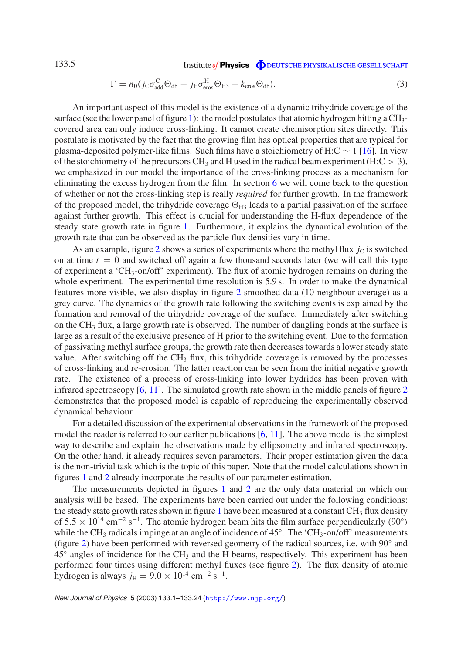$$
\Gamma = n_0 (j_{\rm C} \sigma_{\rm add}^{\rm C} \Theta_{\rm db} - j_{\rm H} \sigma_{\rm eros}^{\rm H} \Theta_{\rm H3} - k_{\rm eros} \Theta_{\rm db}). \tag{3}
$$

<span id="page-4-0"></span>An important aspect of this model is the existence of a dynamic trihydride coverage of the surface (see the lower panel of figure [1\)](#page-2-1): the model postulates that atomic hydrogen hitting a  $CH_3$ covered area can only induce cross-linking. It cannot create chemisorption sites directly. This postulate is motivated by the fact that the growing film has optical properties that are typical for plasma-deposited polymer-like films. Such films have a stoichiometry of H:C  $\sim 1$  [\[16\]](#page-23-4). In view of the stoichiometry of the precursors CH<sub>3</sub> and H used in the radical beam experiment (H:C  $> 3$ ), we emphasized in our model the importance of the cross-linking process as a mechanism for eliminating the excess hydrogen from the film. In section [6](#page-13-0) we will come back to the question of whether or not the cross-linking step is really *required* for further growth. In the framework of the proposed model, the trihydride coverage  $\Theta_{H3}$  leads to a partial passivation of the surface against further growth. This effect is crucial for understanding the H-flux dependence of the steady state growth rate in figure [1.](#page-2-1) Furthermore, it explains the dynamical evolution of the growth rate that can be observed as the particle flux densities vary in time.

As an example, figure [2](#page-5-1) shows a series of experiments where the methyl flux  $j<sub>C</sub>$  is switched on at time  $t = 0$  and switched off again a few thousand seconds later (we will call this type of experiment a 'CH3-on/off' experiment). The flux of atomic hydrogen remains on during the whole experiment. The experimental time resolution is 5.9 s. In order to make the dynamical features more visible, we also display in figure [2](#page-5-1) smoothed data (10-neighbour average) as a grey curve. The dynamics of the growth rate following the switching events is explained by the formation and removal of the trihydride coverage of the surface. Immediately after switching on the CH3 flux, a large growth rate is observed. The number of dangling bonds at the surface is large as a result of the exclusive presence of H prior to the switching event. Due to the formation of passivating methyl surface groups, the growth rate then decreases towards a lower steady state value. After switching off the  $CH_3$  flux, this trihydride coverage is removed by the processes of cross-linking and re-erosion. The latter reaction can be seen from the initial negative growth rate. The existence of a process of cross-linking into lower hydrides has been proven with infrared spectroscopy  $[6, 11]$  $[6, 11]$  $[6, 11]$ . The simulated growth rate shown in the middle panels of figure  $2$ demonstrates that the proposed model is capable of reproducing the experimentally observed dynamical behaviour.

For a detailed discussion of the experimental observations in the framework of the proposed model the reader is referred to our earlier publications [\[6,](#page-22-6) [11\]](#page-23-0). The above model is the simplest way to describe and explain the observations made by ellipsometry and infrared spectroscopy. On the other hand, it already requires seven parameters. Their proper estimation given the data is the non-trivial task which is the topic of this paper. Note that the model calculations shown in figures [1](#page-2-1) and [2](#page-5-1) already incorporate the results of our parameter estimation.

The measurements depicted in figures [1](#page-2-1) and [2](#page-5-1) are the only data material on which our analysis will be based. The experiments have been carried out under the following conditions: the steady state growth rates shown in figure [1](#page-2-1) have been measured at a constant  $CH<sub>3</sub>$  flux density of  $5.5 \times 10^{14}$  cm<sup>-2</sup> s<sup>-1</sup>. The atomic hydrogen beam hits the film surface perpendicularly (90°) while the CH<sub>3</sub> radicals impinge at an angle of incidence of  $45^\circ$ . The 'CH<sub>3</sub>-on/off' measurements (figure [2\)](#page-5-1) have been performed with reversed geometry of the radical sources, i.e. with 90◦ and  $45°$  angles of incidence for the CH<sub>3</sub> and the H beams, respectively. This experiment has been performed four times using different methyl fluxes (see figure [2\)](#page-5-1). The flux density of atomic hydrogen is always  $j_{\text{H}} = 9.0 \times 10^{14} \text{ cm}^{-2} \text{ s}^{-1}$ .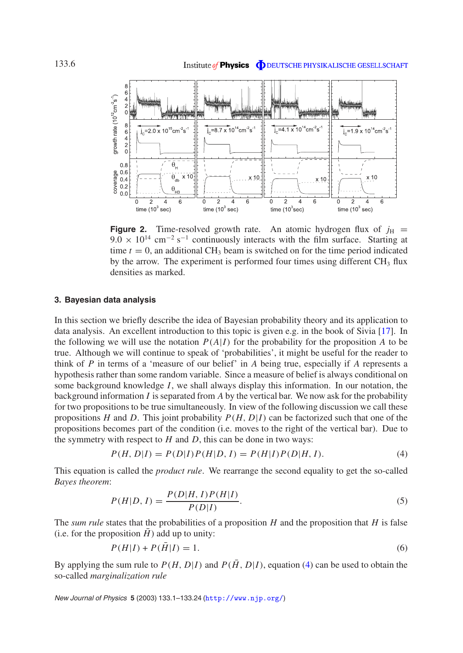<span id="page-5-1"></span>

**Figure 2.** Time-resolved growth rate. An atomic hydrogen flux of  $j_H$  =  $9.0 \times 10^{14}$  cm<sup>-2</sup> s<sup>-1</sup> continuously interacts with the film surface. Starting at time  $t = 0$ , an additional CH<sub>3</sub> beam is switched on for the time period indicated by the arrow. The experiment is performed four times using different  $CH<sub>3</sub>$  flux densities as marked.

#### <span id="page-5-0"></span>**3. Bayesian data analysis**

In this section we briefly describe the idea of Bayesian probability theory and its application to data analysis. An excellent introduction to this topic is given e.g. in the book of Sivia [\[17\]](#page-23-5). In the following we will use the notation  $P(A|I)$  for the probability for the proposition *A* to be true. Although we will continue to speak of 'probabilities', it might be useful for the reader to think of *P* in terms of a 'measure of our belief' in *A* being true, especially if *A* represents a hypothesis rather than some random variable. Since a measure of belief is always conditional on some background knowledge *I*, we shall always display this information. In our notation, the background information *I* is separated from *A* by the vertical bar. We now ask for the probability for two propositions to be true simultaneously. In view of the following discussion we call these propositions *H* and *D*. This joint probability  $P(H, D|I)$  can be factorized such that one of the propositions becomes part of the condition (i.e. moves to the right of the vertical bar). Due to the symmetry with respect to  $H$  and  $D$ , this can be done in two ways:

<span id="page-5-2"></span>
$$
P(H, D|I) = P(D|I)P(H|D, I) = P(H|I)P(D|H, I).
$$
\n(4)

<span id="page-5-3"></span>This equation is called the *product rule*. We rearrange the second equality to get the so-called *Bayes theorem*:

$$
P(H|D, I) = \frac{P(D|H, I)P(H|I)}{P(D|I)}.
$$
\n(5)

The *sum rule* states that the probabilities of a proposition *H* and the proposition that *H* is false (i.e. for the proposition  $H$ ) add up to unity:

$$
P(H|I) + P(\bar{H}|I) = 1.
$$
\n(6)

By applying the sum rule to  $P(H, D|I)$  and  $P(\overline{H}, D|I)$ , equation [\(4\)](#page-5-2) can be used to obtain the so-called *marginalization rule*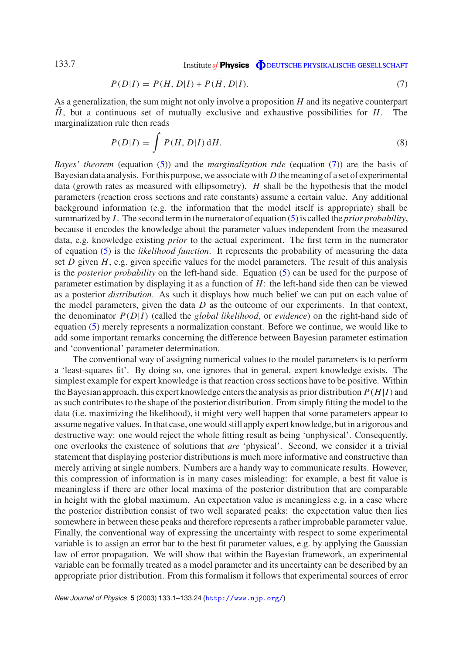$$
P(D|I) = P(H, D|I) + P(\bar{H}, D|I).
$$
\n(7)

<span id="page-6-0"></span>As a generalization, the sum might not only involve a proposition *H* and its negative counterpart  $\bar{H}$ , but a continuous set of mutually exclusive and exhaustive possibilities for *H*. The marginalization rule then reads

$$
P(D|I) = \int P(H, D|I) dH.
$$
\n(8)

*Bayes' theorem* (equation [\(5\)](#page-5-3)) and the *marginalization rule* (equation [\(7\)](#page-6-0)) are the basis of Bayesian data analysis. For this purpose, we associate with *D* the meaning of a set of experimental data (growth rates as measured with ellipsometry). *H* shall be the hypothesis that the model parameters (reaction cross sections and rate constants) assume a certain value. Any additional background information (e.g. the information that the model itself is appropriate) shall be summarized by *I*. The second term in the numerator of equation [\(5\)](#page-5-3) is called the *prior probability*, because it encodes the knowledge about the parameter values independent from the measured data, e.g. knowledge existing *prior* to the actual experiment. The first term in the numerator of equation [\(5\)](#page-5-3) is the *likelihood function*. It represents the probability of measuring the data set *D* given *H*, e.g. given specific values for the model parameters. The result of this analysis is the *posterior probability* on the left-hand side. Equation [\(5\)](#page-5-3) can be used for the purpose of parameter estimation by displaying it as a function of *H*: the left-hand side then can be viewed as a posterior *distribution*. As such it displays how much belief we can put on each value of the model parameters, given the data *D* as the outcome of our experiments. In that context, the denominator *P*(*D*|*I*) (called the *global likelihood*, or *evidence*) on the right-hand side of equation [\(5\)](#page-5-3) merely represents a normalization constant. Before we continue, we would like to add some important remarks concerning the difference between Bayesian parameter estimation and 'conventional' parameter determination.

The conventional way of assigning numerical values to the model parameters is to perform a 'least-squares fit'. By doing so, one ignores that in general, expert knowledge exists. The simplest example for expert knowledge is that reaction cross sections have to be positive. Within the Bayesian approach, this expert knowledge enters the analysis as prior distribution  $P(H|I)$  and assuch contributes to the shape of the posterior distribution. From simply fitting the model to the data (i.e. maximizing the likelihood), it might very well happen that some parameters appear to assume negative values. In that case, one would still apply expert knowledge, but in a rigorous and destructive way: one would reject the whole fitting result as being 'unphysical'. Consequently, one overlooks the existence of solutions that *are* 'physical'. Second, we consider it a trivial statement that displaying posterior distributions is much more informative and constructive than merely arriving at single numbers. Numbers are a handy way to communicate results. However, this compression of information is in many cases misleading: for example, a best fit value is meaningless if there are other local maxima of the posterior distribution that are comparable in height with the global maximum. An expectation value is meaningless e.g. in a case where the posterior distribution consist of two well separated peaks: the expectation value then lies somewhere in between these peaks and therefore represents a rather improbable parameter value. Finally, the conventional way of expressing the uncertainty with respect to some experimental variable is to assign an error bar to the best fit parameter values, e.g. by applying the Gaussian law of error propagation. We will show that within the Bayesian framework, an experimental variable can be formally treated as a model parameter and its uncertainty can be described by an appropriate prior distribution. From this formalism it follows that experimental sources of error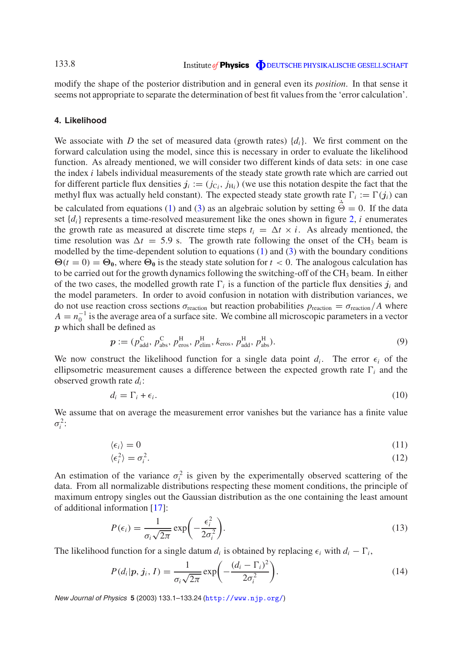modify the shape of the posterior distribution and in general even its *position*. In that sense it seems not appropriate to separate the determination of best fit values from the 'error calculation'.

#### <span id="page-7-0"></span>**4. Likelihood**

We associate with *D* the set of measured data (growth rates)  $\{d_i\}$ . We first comment on the forward calculation using the model, since this is necessary in order to evaluate the likelihood function. As already mentioned, we will consider two different kinds of data sets: in one case the index *i* labels individual measurements of the steady state growth rate which are carried out for different particle flux densities  $j_i := (j_{\text{C}_i}, j_{\text{H}_i})$  (we use this notation despite the fact that the methyl flux was actually held constant). The expected steady state growth rate  $\Gamma_i := \Gamma(j_i)$  can be calculated from equations [\(1\)](#page-3-0) and [\(3\)](#page-4-0) as an algebraic solution by setting  $\dot{\vec{\Theta}} = 0$ . If the data set  $\{d_i\}$  represents a time-resolved measurement like the ones shown in figure [2,](#page-5-1) *i* enumerates the growth rate as measured at discrete time steps  $t_i = \Delta t \times i$ . As already mentioned, the time resolution was  $\Delta t = 5.9$  s. The growth rate following the onset of the CH<sub>3</sub> beam is modelled by the time-dependent solution to equations [\(1\)](#page-3-0) and [\(3\)](#page-4-0) with the boundary conditions  $\Theta(t=0) = \Theta_0$ , where  $\Theta_0$  is the steady state solution for  $t < 0$ . The analogous calculation has to be carried out for the growth dynamics following the switching-off of the CH<sub>3</sub> beam. In either of the two cases, the modelled growth rate  $\Gamma_i$  is a function of the particle flux densities  $j_i$  and the model parameters. In order to avoid confusion in notation with distribution variances, we do not use reaction cross sections  $\sigma_{\text{reaction}}$  but reaction probabilities  $p_{\text{reaction}} = \sigma_{\text{reaction}}/A$  where  $A = n_0^{-1}$  is the average area of a surface site. We combine all microscopic parameters in a vector *p* which shall be defined as

<span id="page-7-2"></span>
$$
\boldsymbol{p} := (p_{\text{add}}^{\text{C}}, p_{\text{abs}}^{\text{C}}, p_{\text{eros}}^{\text{H}}, p_{\text{elim}}^{\text{H}}, k_{\text{eros}}, p_{\text{add}}^{\text{H}}, p_{\text{abs}}^{\text{H}}). \tag{9}
$$

We now construct the likelihood function for a single data point  $d_i$ . The error  $\epsilon_i$  of the ellipsometric measurement causes a difference between the expected growth rate  $\Gamma_i$  and the observed growth rate *di* :

$$
d_i = \Gamma_i + \epsilon_i. \tag{10}
$$

We assume that on average the measurement error vanishes but the variance has a finite value  $\sigma_i^2$ :

$$
\langle \epsilon_i \rangle = 0 \tag{11}
$$

$$
\langle \epsilon_i^2 \rangle = \sigma_i^2. \tag{12}
$$

An estimation of the variance  $\sigma_i^2$  is given by the experimentally observed scattering of the data. From all normalizable distributions respecting these moment conditions, the principle of maximum entropy singles out the Gaussian distribution as the one containing the least amount of additional information [\[17\]](#page-23-5):

$$
P(\epsilon_i) = \frac{1}{\sigma_i \sqrt{2\pi}} \exp\left(-\frac{\epsilon_i^2}{2\sigma_i^2}\right).
$$
 (13)

The likelihood function for a single datum  $d_i$  is obtained by replacing  $\epsilon_i$  with  $d_i - \Gamma_i$ ,

<span id="page-7-1"></span>
$$
P(d_i|p, j_i, I) = \frac{1}{\sigma_i \sqrt{2\pi}} \exp\left(-\frac{(d_i - \Gamma_i)^2}{2\sigma_i^2}\right).
$$
\n(14)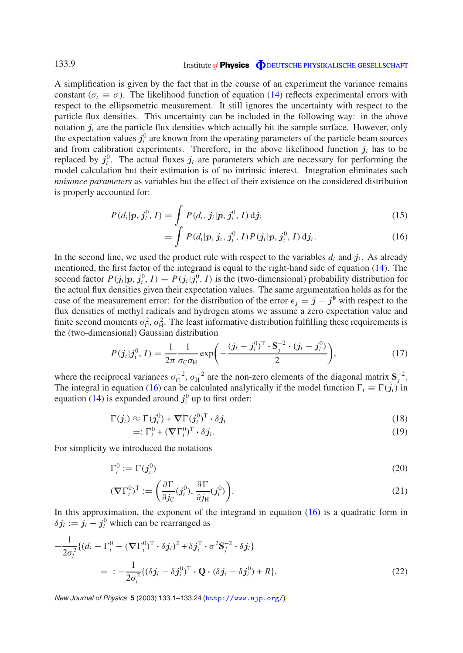A simplification is given by the fact that in the course of an experiment the variance remains constant ( $\sigma_i \equiv \sigma$ ). The likelihood function of equation [\(14\)](#page-7-1) reflects experimental errors with respect to the ellipsometric measurement. It still ignores the uncertainty with respect to the particle flux densities. This uncertainty can be included in the following way: in the above notation  $j_i$  are the particle flux densities which actually hit the sample surface. However, only the expectation values  $j_i^0$  are known from the operating parameters of the particle beam sources and from calibration experiments. Therefore, in the above likelihood function  $j_i$  has to be replaced by  $j_i^0$ . The actual fluxes  $j_i$  are parameters which are necessary for performing the model calculation but their estimation is of no intrinsic interest. Integration eliminates such *nuisance parameters* as variables but the effect of their existence on the considered distribution is properly accounted for:

$$
P(d_i|p, j_i^0, I) = \int_c P(d_i, j_i|p, j_i^0, I) \, \mathrm{d}j_i \tag{15}
$$

$$
= \int P(d_i|p, j_i, j_i^0, I) P(j_i|p, j_i^0, I) \, \mathrm{d} j_i. \tag{16}
$$

<span id="page-8-0"></span>In the second line, we used the product rule with respect to the variables  $d_i$  and  $j_i$ . As already mentioned, the first factor of the integrand is equal to the right-hand side of equation [\(14\)](#page-7-1). The second factor  $P(j_i|p, j_i^0, I) \equiv P(j_i|j_i^0, I)$  is the (two-dimensional) probability distribution for the actual flux densities given their expectation values. The same argumentation holds as for the case of the measurement error: for the distribution of the error  $\epsilon_j = j - j^0$  with respect to the flux densities of methyl radicals and hydrogen atoms we assume a zero expectation value and finite second moments  $\sigma_{\rm C}^2$ ,  $\sigma_{\rm H}^2$ . The least informative distribution fulfilling these requirements is the (two-dimensional) Gaussian distribution

$$
P(j_i|j_i^0, I) = \frac{1}{2\pi} \frac{1}{\sigma_{\rm C} \sigma_{\rm H}} \exp\left(-\frac{(j_i - j_i^0)^{\rm T} \cdot {\bf S}_j^{-2} \cdot (j_i - j_i^0)}{2}\right),\tag{17}
$$

where the reciprocal variances  $\sigma_C^{-2}$ ,  $\sigma_H^{-2}$  are the non-zero elements of the diagonal matrix  $S_j^{-2}$ . The integral in equation [\(16\)](#page-8-0) can be calculated analytically if the model function  $\Gamma_i \equiv \Gamma(j_i)$  in equation [\(14\)](#page-7-1) is expanded around  $j_i^0$  up to first order:

$$
\Gamma(j_i) \approx \Gamma(j_i^0) + \nabla \Gamma(j_i^0)^T \cdot \delta j_i
$$
\n(18)

$$
=: \Gamma_i^0 + (\nabla \Gamma_i^0)^T \cdot \delta j_i. \tag{19}
$$

<span id="page-8-2"></span>For simplicity we introduced the notations

$$
\Gamma_i^0 := \Gamma(j_i^0) \tag{20}
$$

<span id="page-8-1"></span>
$$
(\nabla \Gamma_i^0)^{\mathrm{T}} := \left(\frac{\partial \Gamma}{\partial j_{\mathrm{C}}}(j_i^0), \frac{\partial \Gamma}{\partial j_{\mathrm{H}}}(j_i^0)\right). \tag{21}
$$

In this approximation, the exponent of the integrand in equation  $(16)$  is a quadratic form in  $\delta j_i := j_i - j_i^0$  which can be rearranged as

$$
-\frac{1}{2\sigma_i^2}\{(d_i - \Gamma_i^0 - (\nabla\Gamma_i^0)^T \cdot \delta j_i)^2 + \delta j_i^T \cdot \sigma^2 \mathbf{S}_j^{-2} \cdot \delta j_i\}
$$
  

$$
= -\frac{1}{2\sigma_i^2}\{(\delta j_i - \delta j_i^0)^T \cdot \mathbf{Q} \cdot (\delta j_i - \delta j_i^0) + R\}.
$$
 (22)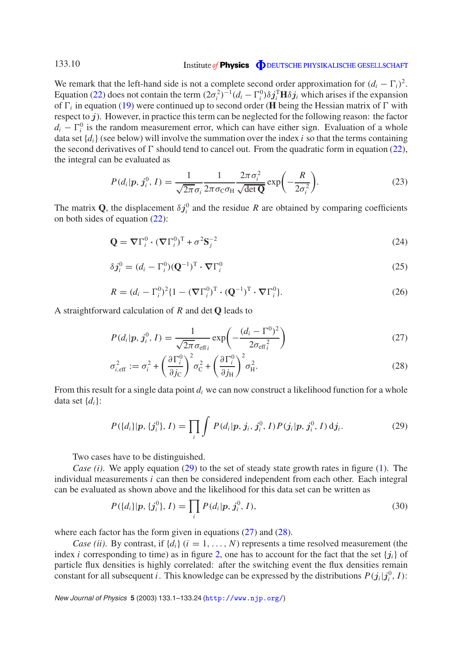We remark that the left-hand side is not a complete second order approximation for  $(d_i - \Gamma_i)^2$ . Equation [\(22\)](#page-8-1) does not contain the term  $(2\sigma_i^2)^{-1}(d_i - \Gamma_i^0)\delta j_i^{\text{T}}\mathbf{H}\delta j_i$  which arises if the expansion of  $\Gamma$ <sub>i</sub> in equation [\(19\)](#page-8-2) were continued up to second order (**H** being the Hessian matrix of  $\Gamma$  with respect to *j*). However, in practice this term can be neglected for the following reason: the factor  $d_i - \Gamma_i^0$  is the random measurement error, which can have either sign. Evaluation of a whole data set  $\{d_i\}$  (see below) will involve the summation over the index *i* so that the terms containing the second derivatives of  $\Gamma$  should tend to cancel out. From the quadratic form in equation [\(22\)](#page-8-1), the integral can be evaluated as

$$
P(d_i|p, j_i^0, I) = \frac{1}{\sqrt{2\pi}\sigma_i} \frac{1}{2\pi\sigma_{\rm C}\sigma_{\rm H}} \frac{2\pi\sigma_i^2}{\sqrt{\det \mathbf{Q}}} \exp\left(-\frac{R}{2\sigma_i^2}\right).
$$
 (23)

The matrix Q, the displacement  $\delta j_i^0$  and the residue R are obtained by comparing coefficients on both sides of equation [\(22\)](#page-8-1):

$$
\mathbf{Q} = \nabla \Gamma_i^0 \cdot (\nabla \Gamma_i^0)^T + \sigma^2 \mathbf{S}_j^{-2}
$$
 (24)

$$
\delta \boldsymbol{j}_i^0 = (d_i - \Gamma_i^0) (\mathbf{Q}^{-1})^{\mathrm{T}} \cdot \boldsymbol{\nabla} \Gamma_i^0
$$
\n(25)

$$
R = (d_i - \Gamma_i^0)^2 \{ 1 - (\nabla \Gamma_i^0)^T \cdot (\mathbf{Q}^{-1})^T \cdot \nabla \Gamma_i^0 \}.
$$
\n(26)

A straightforward calculation of *R* and det **Q** leads to

<span id="page-9-1"></span>
$$
P(d_i|p, j_i^0, I) = \frac{1}{\sqrt{2\pi}\sigma_{\text{eff}_i}} \exp\left(-\frac{(d_i - \Gamma^0)^2}{2\sigma_{\text{eff}_i}^2}\right)
$$
(27)

$$
\sigma_{i,\text{eff}}^2 := \sigma_i^2 + \left(\frac{\partial \Gamma_i^0}{\partial j_C}\right)^2 \sigma_C^2 + \left(\frac{\partial \Gamma_i^0}{\partial j_H}\right)^2 \sigma_H^2.
$$
\n(28)

<span id="page-9-2"></span><span id="page-9-0"></span>From this result for a single data point  $d_i$  we can now construct a likelihood function for a whole data set  $\{d_i\}$ :

$$
P({d_i}|p, {j_i^0}, I) = \prod_i \int P(d_i|p, j_i, j_i^0, I) P(j_i|p, j_i^0, I) d j_i.
$$
 (29)

Two cases have to be distinguished.

*Case (i)*. We apply equation [\(29\)](#page-9-0) to the set of steady state growth rates in figure [\(1\)](#page-2-1). The individual measurements *i* can then be considered independent from each other. Each integral can be evaluated as shown above and the likelihood for this data set can be written as

$$
P({d_i}|p, {j_i^0}, I) = \prod_i P(d_i|p, j_i^0, I),
$$
\n(30)

where each factor has the form given in equations [\(27\)](#page-9-1) and [\(28\)](#page-9-2).

*Case (ii)*. By contrast, if  $\{d_i\}$  ( $i = 1, ..., N$ ) represents a time resolved measurement (the index *i* corresponding to time) as in figure [2,](#page-5-1) one has to account for the fact that the set  ${j_i}$  of particle flux densities is highly correlated: after the switching event the flux densities remain constant for all subsequent *i*. This knowledge can be expressed by the distributions  $P(j_i|j_i^0, I)$ :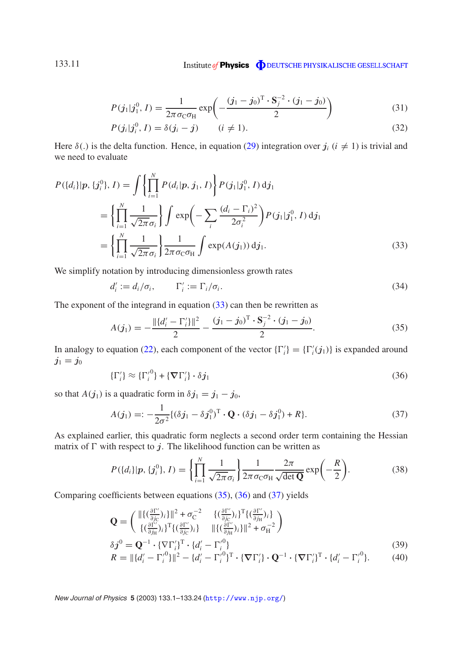$$
P(j_1|j_1^0, I) = \frac{1}{2\pi\sigma_{\rm C}\sigma_{\rm H}} \exp\left(-\frac{(j_1 - j_0)^{\rm T} \cdot \mathbf{S}_j^{-2} \cdot (j_1 - j_0)}{2}\right)
$$
(31)

$$
P(j_i|j_i^0, I) = \delta(j_i - j) \qquad (i \neq 1).
$$
 (32)

Here  $\delta(.)$  is the delta function. Hence, in equation [\(29\)](#page-9-0) integration over  $j_i$  ( $i \neq 1$ ) is trivial and we need to evaluate

<span id="page-10-0"></span>
$$
P({d_i}|p, {j_i^0}, I) = \int \left\{ \prod_{i=1}^N P(d_i|p, j_1, I) \right\} P(j_1|j_1^0, I) d j_1
$$
  
= 
$$
\left\{ \prod_{i=1}^N \frac{1}{\sqrt{2\pi} \sigma_i} \right\} \int \exp\left(-\sum_i \frac{(d_i - \Gamma_i)^2}{2\sigma_i^2}\right) P(j_1|j_1^0, I) d j_1
$$
  
= 
$$
\left\{ \prod_{i=1}^N \frac{1}{\sqrt{2\pi} \sigma_i} \right\} \frac{1}{2\pi \sigma_c \sigma_H} \int \exp(A(j_1)) d j_1.
$$
 (33)

We simplify notation by introducing dimensionless growth rates

$$
d_i' := d_i / \sigma_i, \qquad \Gamma_i' := \Gamma_i / \sigma_i. \tag{34}
$$

The exponent of the integrand in equation [\(33\)](#page-10-0) can then be rewritten as

<span id="page-10-1"></span>
$$
A(j_1) = -\frac{\|\{d'_i - \Gamma'_i\}\|^2}{2} - \frac{(j_1 - j_0)^{\mathrm{T}} \cdot \mathbf{S}_j^{-2} \cdot (j_1 - j_0)}{2}.
$$
 (35)

<span id="page-10-2"></span>In analogy to equation [\(22\)](#page-8-1), each component of the vector  $\{\Gamma'_i\} = \{\Gamma'_i(j_1)\}\$ is expanded around  $j_1 = j_0$ 

$$
\{\Gamma'_i\} \approx \{\Gamma'_i{}^0\} + \{\mathbf{\nabla}\Gamma'_i\} \cdot \delta j_1 \tag{36}
$$

so that *A*( $j_1$ ) is a quadratic form in  $\delta j_1 = j_1 - j_0$ ,

<span id="page-10-3"></span>
$$
A(j_1) =: -\frac{1}{2\sigma^2} \{ (\delta j_1 - \delta j_1^0)^T \cdot \mathbf{Q} \cdot (\delta j_1 - \delta j_1^0) + R \}.
$$
 (37)

As explained earlier, this quadratic form neglects a second order term containing the Hessian matrix of  $\Gamma$  with respect to  $j$ . The likelihood function can be written as

$$
P({d_i}|p, {j_i^0}, I) = \left\{\prod_{i=1}^N \frac{1}{\sqrt{2\pi}\sigma_i}\right\} \frac{1}{2\pi \sigma_{\rm C} \sigma_{\rm H}} \frac{2\pi}{\sqrt{\det \mathbf{Q}}} \exp\left(-\frac{R}{2}\right).
$$
 (38)

Comparing coefficients between equations [\(35\)](#page-10-1), [\(36\)](#page-10-2) and [\(37\)](#page-10-3) yields

$$
\mathbf{Q} = \begin{pmatrix} \|\{(\frac{\partial \Gamma'}{\partial j_C})_i\}\|^2 + \sigma_C^{-2} & \{(\frac{\partial \Gamma'}{\partial j_C})_i\}^{\mathrm{T}} \{(\frac{\partial \Gamma'}{\partial j_H})_i\} \\ \{(\frac{\partial \Gamma'}{\partial j_H})_i\}^{\mathrm{T}} \{(\frac{\partial \Gamma'}{\partial j_C})_i\} & \|\{(\frac{\partial \Gamma'}{\partial j_H})_i\}\|^2 + \sigma_H^{-2} \end{pmatrix}
$$

$$
\delta j^{0} = \mathbf{Q}^{-1} \cdot \{\nabla \Gamma_{i}^{\prime}\}^{\mathrm{T}} \cdot \{d_{i}^{\prime} - \Gamma_{i}^{\prime 0}\}\tag{39}
$$

$$
R = \|\{d'_i - \Gamma'^0_i\}\|^2 - \{d'_i - \Gamma'^0_i\}^T \cdot \{\nabla \Gamma'_i\} \cdot \mathbf{Q}^{-1} \cdot \{\nabla \Gamma'_i\}^T \cdot \{d'_i - \Gamma'^0_i\}.
$$
 (40)

New Journal of Physics **<sup>5</sup>** (2003) 133.1–133.24 (<http://www.njp.org/>)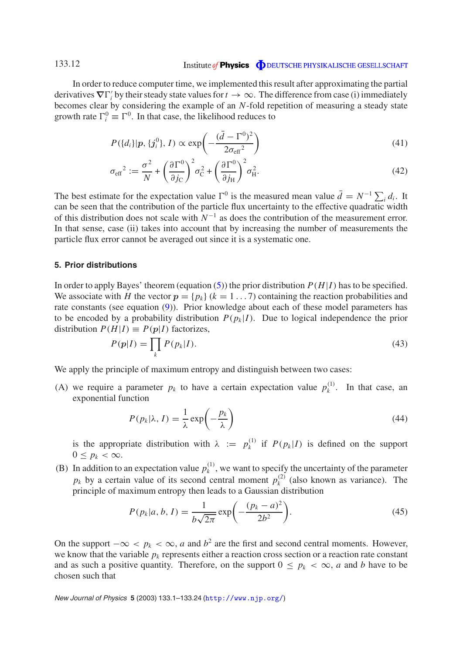In order to reduce computer time, we implemented this result after approximating the partial derivatives  $\nabla\Gamma'_i$  by their steady state values for  $t\to\infty$ . The difference from case (i) immediately becomes clear by considering the example of an *N*-fold repetition of measuring a steady state growth rate  $\Gamma_i^0 \equiv \Gamma^0$ . In that case, the likelihood reduces to

$$
P({d_i}|p, {j_i^0}, I) \propto \exp\left(-\frac{(\bar{d} - \Gamma^0)^2}{2\sigma_{\text{eff}}^2}\right)
$$
\n(41)

$$
\sigma_{\text{eff}}^2 := \frac{\sigma^2}{N} + \left(\frac{\partial \Gamma^0}{\partial j_C}\right)^2 \sigma_C^2 + \left(\frac{\partial \Gamma^0}{\partial j_H}\right)^2 \sigma_H^2.
$$
\n(42)

The best estimate for the expectation value  $\Gamma^0$  is the measured mean value  $\bar{d} = N^{-1} \sum_i d_i$ . It can be seen that the contribution of the particle flux uncertainty to the effective quadratic width of this distribution does not scale with  $N^{-1}$  as does the contribution of the measurement error. In that sense, case (ii) takes into account that by increasing the number of measurements the particle flux error cannot be averaged out since it is a systematic one.

#### <span id="page-11-0"></span>**5. Prior distributions**

In order to apply Bayes' theorem (equation  $(5)$ ) the prior distribution  $P(H|I)$  has to be specified. We associate with *H* the vector  $p = \{p_k\}$  ( $k = 1...7$ ) containing the reaction probabilities and rate constants (see equation [\(9\)](#page-7-2)). Prior knowledge about each of these model parameters has to be encoded by a probability distribution  $P(p_k | I)$ . Due to logical independence the prior distribution  $P(H|I) \equiv P(p|I)$  factorizes,

$$
P(p|I) = \prod_{k} P(p_k|I). \tag{43}
$$

We apply the principle of maximum entropy and distinguish between two cases:

(A) we require a parameter  $p_k$  to have a certain expectation value  $p_k^{(1)}$ . In that case, an exponential function

<span id="page-11-1"></span>
$$
P(p_k|\lambda, I) = \frac{1}{\lambda} \exp\left(-\frac{p_k}{\lambda}\right)
$$
 (44)

is the appropriate distribution with  $\lambda := p_k^{(1)}$  if  $P(p_k | I)$  is defined on the support  $0 \leq p_k < \infty$ .

(B) In addition to an expectation value  $p_k^{(1)}$ , we want to specify the uncertainty of the parameter  $p_k$  by a certain value of its second central moment  $p_k^{(2)}$  (also known as variance). The principle of maximum entropy then leads to a Gaussian distribution

$$
P(p_k|a, b, I) = \frac{1}{b\sqrt{2\pi}} \exp\left(-\frac{(p_k - a)^2}{2b^2}\right).
$$
 (45)

On the support  $-\infty < p_k < \infty$ , *a* and  $b^2$  are the first and second central moments. However, we know that the variable  $p_k$  represents either a reaction cross section or a reaction rate constant and as such a positive quantity. Therefore, on the support  $0 \leq p_k < \infty$ , *a* and *b* have to be chosen such that

New Journal of Physics **<sup>5</sup>** (2003) 133.1–133.24 (<http://www.njp.org/>)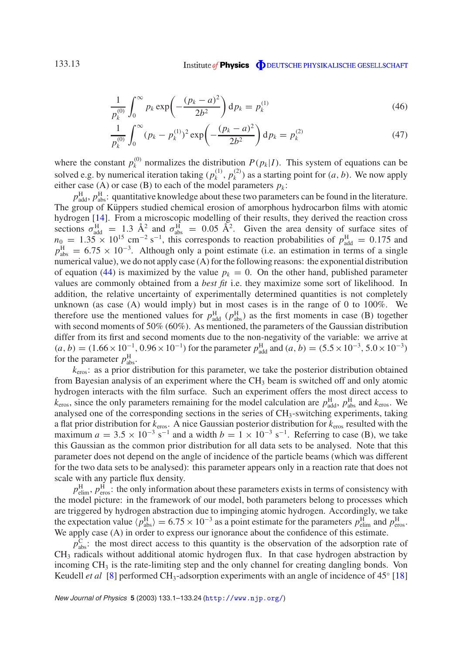$$
\frac{1}{p_k^{(0)}} \int_0^\infty p_k \exp\left(-\frac{(p_k - a)^2}{2b^2}\right) dp_k = p_k^{(1)}
$$
\n(46)

$$
\frac{1}{p_k^{(0)}} \int_0^\infty (p_k - p_k^{(1)})^2 \exp\left(-\frac{(p_k - a)^2}{2b^2}\right) dp_k = p_k^{(2)} \tag{47}
$$

where the constant  $p_k^{(0)}$  normalizes the distribution  $P(p_k|I)$ . This system of equations can be solved e.g. by numerical iteration taking  $(p_k^{(1)}, p_k^{(2)})$  as a starting point for  $(a, b)$ . We now apply either case (A) or case (B) to each of the model parameters  $p_k$ :

 $p_{\text{add}}^{\text{H}}$ ,  $p_{\text{abs}}^{\text{H}}$ : quantitative knowledge about these two parameters can be found in the literature. The group of Küppers studied chemical erosion of amorphous hydrocarbon films with atomic hydrogen [\[14\]](#page-23-6). From a microscopic modelling of their results, they derived the reaction cross sections  $\sigma_{\text{add}}^{\text{H}} = 1.3 \text{ Å}^2$  and  $\sigma_{\text{abs}}^{\text{H}} = 0.05 \text{ Å}^2$ . Given the area density of surface sites of  $n_0 = 1.35 \times 10^{15}$  cm<sup>-2</sup> s<sup>-1</sup>, this corresponds to reaction probabilities of  $p_{\text{add}}^{\text{H}} = 0.175$  and  $p_{\text{abs}}^{\text{H}} = 6.75 \times 10^{-3}$ . Although only a point estimate (i.e. an estimation in terms of a single numerical value), we do not apply case (A) for the following reasons: the exponential distribution of equation [\(44\)](#page-11-1) is maximized by the value  $p_k = 0$ . On the other hand, published parameter values are commonly obtained from a *best fit* i.e. they maximize some sort of likelihood. In addition, the relative uncertainty of experimentally determined quantities is not completely unknown (as case (A) would imply) but in most cases is in the range of 0 to 100%. We therefore use the mentioned values for  $p_{\text{add}}^{\text{H}}$  ( $p_{\text{abs}}^{\text{H}}$ ) as the first moments in case (B) together with second moments of 50% (60%). As mentioned, the parameters of the Gaussian distribution differ from its first and second moments due to the non-negativity of the variable: we arrive at  $(a, b) = (1.66 \times 10^{-1}, 0.96 \times 10^{-1})$  for the parameter  $p_{\text{add}}^{\text{H}}$  and  $(a, b) = (5.5 \times 10^{-3}, 5.0 \times 10^{-3})$ for the parameter  $p_{\text{abs}}^{\text{H}}$ .

*k*eros: as a prior distribution for this parameter, we take the posterior distribution obtained from Bayesian analysis of an experiment where the CH<sub>3</sub> beam is switched off and only atomic hydrogen interacts with the film surface. Such an experiment offers the most direct access to  $k_{\text{eros}}$ , since the only parameters remaining for the model calculation are  $p_{\text{add}}^{\text{H}}$ ,  $p_{\text{abs}}^{\text{H}}$  and  $k_{\text{eros}}$ . We analysed one of the corresponding sections in the series of  $CH_3$ -switching experiments, taking a flat prior distribution for *k*eros. A nice Gaussian posterior distribution for *k*eros resulted with the maximum  $a = 3.5 \times 10^{-3}$  s<sup>-1</sup> and a width  $b = 1 \times 10^{-3}$  s<sup>-1</sup>. Referring to case (B), we take this Gaussian as the common prior distribution for all data sets to be analysed. Note that this parameter does not depend on the angle of incidence of the particle beams (which was different for the two data sets to be analysed): this parameter appears only in a reaction rate that does not scale with any particle flux density.

 $p_{\text{elim}}^{\text{H}}$ ,  $p_{\text{eros}}^{\text{H}}$ : the only information about these parameters exists in terms of consistency with the model picture: in the framework of our model, both parameters belong to processes which are triggered by hydrogen abstraction due to impinging atomic hydrogen. Accordingly, we take the expectation value  $\langle p_{\text{abs}}^{\text{H}} \rangle = 6.75 \times 10^{-3}$  as a point estimate for the parameters  $p_{\text{elim}}^{\text{H}}$  and  $p_{\text{eros}}^{\text{H}}$ . We apply case (A) in order to express our ignorance about the confidence of this estimate.

 $p_{\text{abs}}^{\text{C}}$ : the most direct access to this quantity is the observation of the adsorption rate of  $CH<sub>3</sub>$  radicals without additional atomic hydrogen flux. In that case hydrogen abstraction by incoming CH<sub>3</sub> is the rate-limiting step and the only channel for creating dangling bonds. Von Keudell *et al* [\[8\]](#page-22-9) performed CH3-adsorption experiments with an angle of incidence of 45◦ [\[18\]](#page-23-7)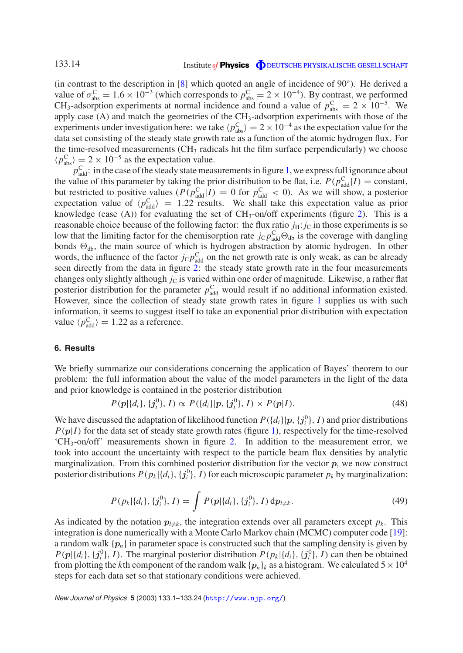#### Institute of **Physics O** DEUTSCHE PHYSIKALISCHE GESELLSCHAFT

(in contrast to the description in [\[8\]](#page-22-9) which quoted an angle of incidence of 90◦). He derived a value of  $\sigma_{\text{abs}}^{\text{C}} = 1.6 \times 10^{-3}$  (which corresponds to  $p_{\text{abs}}^{\text{C}} = 2 \times 10^{-4}$ ). By contrast, we performed CH<sub>3</sub>-adsorption experiments at normal incidence and found a value of  $p_{\text{abs}}^{\text{C}} = 2 \times 10^{-5}$ . We apply case  $(A)$  and match the geometries of the CH<sub>3</sub>-adsorption experiments with those of the experiments under investigation here: we take  $\langle p_{\text{abs}}^{\text{C}} \rangle = 2 \times 10^{-4}$  as the expectation value for the data set consisting of the steady state growth rate as a function of the atomic hydrogen flux. For the time-resolved measurements (CH<sub>3</sub> radicals hit the film surface perpendicularly) we choose  $\langle p_{\text{abs}}^{\text{C}} \rangle = 2 \times 10^{-5}$  as the expectation value.

 $p_{\text{add}}^{\text{C}}$ : in the case of the steady state measurements in figure [1,](#page-2-1) we express full ignorance about the value of this parameter by taking the prior distribution to be flat, i.e.  $P(p_{\text{add}}^C|I) = \text{constant}$ , but restricted to positive values  $(P(p_{\text{add}}^C | I) = 0$  for  $p_{\text{add}}^C < 0$ ). As we will show, a posterior expectation value of  $\langle p_{\text{add}}^{\text{C}} \rangle = 1.22$  results. We shall take this expectation value as prior knowledge (case  $(A)$ ) for evaluating the set of  $CH_3$ -on/off experiments (figure [2\)](#page-5-1). This is a reasonable choice because of the following factor: the flux ratio  $j_H$ :  $j_C$  in those experiments is so low that the limiting factor for the chemisorption rate  $j_c p_{\text{add}}^C \Theta_{\text{db}}$  is the coverage with dangling bonds  $\Theta_{db}$ , the main source of which is hydrogen abstraction by atomic hydrogen. In other words, the influence of the factor  $j<sub>C</sub> p<sub>add</sub><sup>C</sup>$  on the net growth rate is only weak, as can be already seen directly from the data in figure [2:](#page-5-1) the steady state growth rate in the four measurements changes only slightly although  $j<sub>C</sub>$  is varied within one order of magnitude. Likewise, a rather flat posterior distribution for the parameter  $p_{\text{add}}^C$  would result if no additional information existed. However, since the collection of steady state growth rates in figure [1](#page-2-1) supplies us with such information, it seems to suggest itself to take an exponential prior distribution with expectation value  $\langle p_{\text{add}}^{\text{C}} \rangle = 1.22$  as a reference.

#### <span id="page-13-0"></span>**6. Results**

We briefly summarize our considerations concerning the application of Bayes' theorem to our problem: the full information about the value of the model parameters in the light of the data and prior knowledge is contained in the posterior distribution

$$
P(p|\{d_i\}, \{j_i^0\}, I) \propto P(\{d_i\}|p, \{j_i^0\}, I) \times P(p|I). \tag{48}
$$

We have discussed the adaptation of likelihood function  $P({d_i} | p, {j_i^0}, I)$  and prior distributions  $P(p|I)$  for the data set of steady state growth rates (figure [1\)](#page-2-1), respectively for the time-resolved 'CH3-on/off' measurements shown in figure [2.](#page-5-1) In addition to the measurement error, we took into account the uncertainty with respect to the particle beam flux densities by analytic marginalization. From this combined posterior distribution for the vector *p*, we now construct posterior distributions  $P(p_k | \{d_i\}, \{j_i^0\}, I)$  for each microscopic parameter  $p_k$  by marginalization:

$$
P(p_k|\{d_i\}, \{j_i^0\}, I) = \int P(p|\{d_i\}, \{j_i^0\}, I) dp_{l \neq k}.
$$
\n(49)

As indicated by the notation  $p_{l\neq k}$ , the integration extends over all parameters except  $p_k$ . This integration is done numerically with a Monte Carlo Markov chain (MCMC) computer code [\[19\]](#page-23-8): a random walk  $\{p_n\}$  in parameter space is constructed such that the sampling density is given by  $P(p|\{d_i\}, \{j_i^0\}, I)$ . The marginal posterior distribution  $P(p_k|\{d_i\}, \{j_i^0\}, I)$  can then be obtained from plotting the *k*th component of the random walk  $\{p_n\}_k$  as a histogram. We calculated  $5 \times 10^4$ steps for each data set so that stationary conditions were achieved.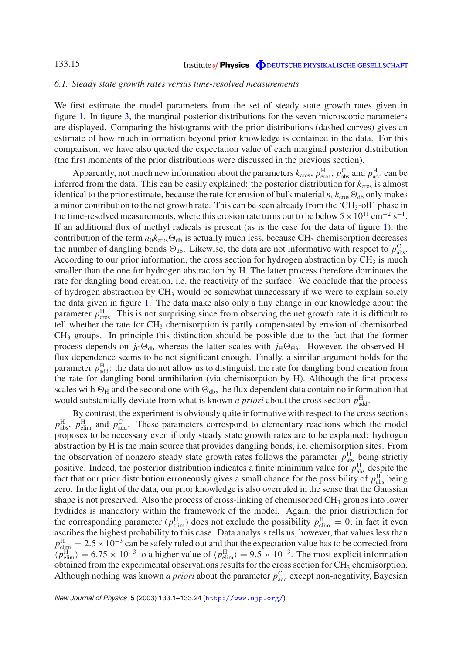#### <span id="page-14-0"></span>*6.1. Steady state growth rates versus time-resolved measurements*

We first estimate the model parameters from the set of steady state growth rates given in figure [1.](#page-2-1) In figure [3,](#page-15-0) the marginal posterior distributions for the seven microscopic parameters are displayed. Comparing the histograms with the prior distributions (dashed curves) gives an estimate of how much information beyond prior knowledge is contained in the data. For this comparison, we have also quoted the expectation value of each marginal posterior distribution (the first moments of the prior distributions were discussed in the previous section).

Apparently, not much new information about the parameters  $k_{\text{eros}}, p_{\text{eros}}^{\text{H}}, p_{\text{abs}}^{\text{C}}$  and  $p_{\text{add}}^{\text{H}}$  can be inferred from the data. This can be easily explained: the posterior distribution for  $k_{\text{eros}}$  is almost identical to the prior estimate, because the rate for erosion of bulk material  $n_0k_{\rm eros} \Theta_{\rm db}$  only makes a minor contribution to the net growth rate. This can be seen already from the 'CH<sub>3</sub>-off' phase in the time-resolved measurements, where this erosion rate turns out to be below  $5 \times 10^{11}$  cm<sup>-2</sup> s<sup>-1</sup>. If an additional flux of methyl radicals is present (as is the case for the data of figure [1\)](#page-2-1), the contribution of the term  $n_0k_{\text{eros}}\Theta_{\text{db}}$  is actually much less, because CH<sub>3</sub> chemisorption decreases the number of dangling bonds  $\Theta_{db}$ . Likewise, the data are not informative with respect to  $p_{abs}^C$ . According to our prior information, the cross section for hydrogen abstraction by  $CH<sub>3</sub>$  is much smaller than the one for hydrogen abstraction by H. The latter process therefore dominates the rate for dangling bond creation, i.e. the reactivity of the surface. We conclude that the process of hydrogen abstraction by  $CH_3$  would be somewhat unnecessary if we were to explain solely the data given in figure [1.](#page-2-1) The data make also only a tiny change in our knowledge about the parameter  $p_{\text{eros}}^{\text{H}}$ . This is not surprising since from observing the net growth rate it is difficult to tell whether the rate for CH<sub>3</sub> chemisorption is partly compensated by erosion of chemisorbed CH3 groups. In principle this distinction should be possible due to the fact that the former process depends on  $j_c \Theta_{db}$  whereas the latter scales with  $j_H \Theta_{H3}$ . However, the observed Hflux dependence seems to be not significant enough. Finally, a similar argument holds for the parameter  $p_{\text{add}}^{\text{H}}$ : the data do not allow us to distinguish the rate for dangling bond creation from the rate for dangling bond annihilation (via chemisorption by H). Although the first process scales with  $\Theta_H$  and the second one with  $\Theta_{db}$ , the flux dependent data contain no information that would substantially deviate from what is known *a priori* about the cross section  $p_{\text{add}}^{\text{H}}$ .

By contrast, the experiment is obviously quite informative with respect to the cross sections  $p_{\text{abs}}^{\text{H}}$ ,  $p_{\text{elim}}^{\text{H}}$  and  $p_{\text{add}}^{\text{C}}$ . These parameters correspond to elementary reactions which the model proposes to be necessary even if only steady state growth rates are to be explained: hydrogen abstraction by H is the main source that provides dangling bonds, i.e. chemisorption sites. From the observation of nonzero steady state growth rates follows the parameter  $p_{\text{abs}}^{\text{H}}$  being strictly positive. Indeed, the posterior distribution indicates a finite minimum value for  $p_{\text{abs}}^{\text{H}}$  despite the fact that our prior distribution erroneously gives a small chance for the possibility of  $p_{\text{abs}}^{\text{H}}$  being zero. In the light of the data, our prior knowledge is also overruled in the sense that the Gaussian shape is not preserved. Also the process of cross-linking of chemisorbed  $CH<sub>3</sub>$  groups into lower hydrides is mandatory within the framework of the model. Again, the prior distribution for the corresponding parameter ( $p_{\text{elim}}^{\text{H}}$ ) does not exclude the possibility  $p_{\text{elim}}^{\text{H}} = 0$ ; in fact it even ascribes the highest probability to this case. Data analysis tells us, however, that values less than  $p_{\text{elim}}^{\text{H}} = 2.5 \times 10^{-3}$  can be safely ruled out and that the expectation value has to be corrected from  $\langle p_{\text{elim}}^{\text{H}} \rangle = 6.75 \times 10^{-3}$  to a higher value of  $\langle p_{\text{elim}}^{\text{H}} \rangle = 9.5 \times 10^{-3}$ . The most explicit information obtained from the experimental observations results for the cross section for  $CH<sub>3</sub>$  chemisorption. Although nothing was known *a priori* about the parameter  $p_{\text{add}}^C$  except non-negativity, Bayesian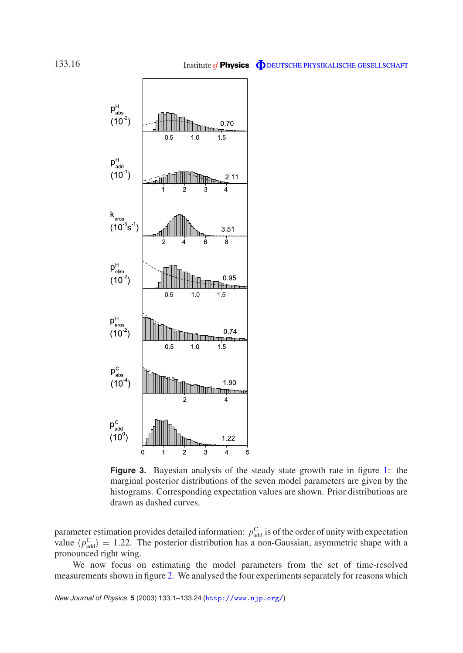<span id="page-15-0"></span>

**Figure 3.** Bayesian analysis of the steady state growth rate in figure [1:](#page-2-1) the marginal posterior distributions of the seven model parameters are given by the histograms. Corresponding expectation values are shown. Prior distributions are drawn as dashed curves.

parameter estimation provides detailed information:  $p_{\text{add}}^{\text{C}}$  is of the order of unity with expectation value  $\langle p_{\text{add}}^{\text{C}} \rangle = 1.22$ . The posterior distribution has a non-Gaussian, asymmetric shape with a pronounced right wing.

We now focus on estimating the model parameters from the set of time-resolved measurements shown in figure [2.](#page-5-1) We analysed the four experiments separately for reasons which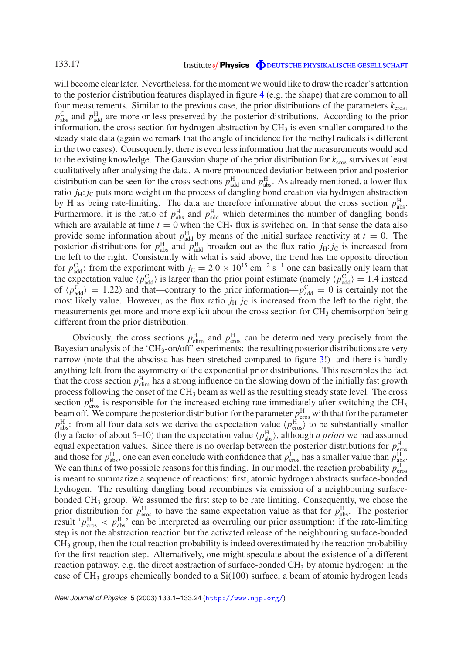will become clear later. Nevertheless, for the moment we would like to draw the reader's attention to the posterior distribution features displayed in figure [4](#page-17-1) (e.g. the shape) that are common to all four measurements. Similar to the previous case, the prior distributions of the parameters  $k_{\text{eros}}$ ,  $p_{\text{abs}}^{\text{C}}$  and  $p_{\text{add}}^{\text{H}}$  are more or less preserved by the posterior distributions. According to the prior information, the cross section for hydrogen abstraction by  $CH<sub>3</sub>$  is even smaller compared to the steady state data (again we remark that the angle of incidence for the methyl radicals is different in the two cases). Consequently, there is even less information that the measurements would add to the existing knowledge. The Gaussian shape of the prior distribution for *k*eros survives at least qualitatively after analysing the data. A more pronounced deviation between prior and posterior distribution can be seen for the cross sections  $p_{\text{add}}^H$  and  $p_{\text{abs}}^H$ . As already mentioned, a lower flux ratio  $j_H$ :  $j_C$  puts more weight on the process of dangling bond creation via hydrogen abstraction by H as being rate-limiting. The data are therefore informative about the cross section  $p_{\text{abs}}^{\text{H}}$ . Furthermore, it is the ratio of  $p_{\text{abs}}^{\text{H}}$  and  $p_{\text{add}}^{\text{H}}$  which determines the number of dangling bonds which are available at time  $t = 0$  when the CH<sub>3</sub> flux is switched on. In that sense the data also provide some information about  $p_{\text{add}}^{\text{H}}$  by means of the initial surface reactivity at  $t = 0$ . The posterior distributions for  $p_{\text{abs}}^{\text{H}}$  and  $p_{\text{add}}^{\text{H}}$  broaden out as the flux ratio  $j_{\text{H}}: j_{\text{C}}$  is increased from the left to the right. Consistently with what is said above, the trend has the opposite direction for  $p_{\text{add}}^C$ : from the experiment with  $j_C = 2.0 \times 10^{15} \text{ cm}^{-2} \text{ s}^{-1}$  one can basically only learn that the expectation value  $\langle p_{\text{add}}^{\text{C}} \rangle$  is larger than the prior point estimate (namely  $\langle p_{\text{add}}^{\text{C}} \rangle = 1.4$  instead of  $\langle p_{\text{add}}^{\text{C}} \rangle = 1.22$ ) and that—contrary to the prior information— $p_{\text{add}}^{\text{C}} = 0$  is certainly not the most likely value. However, as the flux ratio  $j_H$ :  $j_C$  is increased from the left to the right, the measurements get more and more explicit about the cross section for  $CH<sub>3</sub>$  chemisorption being different from the prior distribution.

Obviously, the cross sections  $p_{\text{elim}}^{\text{H}}$  and  $p_{\text{eros}}^{\text{H}}$  can be determined very precisely from the Bayesian analysis of the 'CH<sub>3</sub>-on/off' experiments: the resulting posterior distributions are very narrow (note that the abscissa has been stretched compared to figure [3!](#page-15-0)) and there is hardly anything left from the asymmetry of the exponential prior distributions. This resembles the fact that the cross section  $p_{\text{elim}}^{\text{H}}$  has a strong influence on the slowing down of the initially fast growth process following the onset of the CH<sub>3</sub> beam as well as the resulting steady state level. The cross section  $p_{\text{eros}}^{\text{H}}$  is responsible for the increased etching rate immediately after switching the CH<sub>3</sub> beam off. We compare the posterior distribution for the parameter  $p_{\text{eros}}^{\text{H}}$  with that for the parameter  $p_{\text{abs}}^{\text{H}}$ : from all four data sets we derive the expectation value  $\langle p_{\text{eros}}^{\text{H}} \rangle$  to be substantially smaller (by a factor of about 5–10) than the expectation value  $\langle p_{\text{abs}}^{\text{H}} \rangle$ , although *a priori* we had assumed equal expectation values. Since there is no overlap between the posterior distributions for  $p_{\text{abs}}^{\text{H}}$ <br>and those for  $p_{\text{abs}}^{\text{H}}$ , one can even conclude with confidence that  $p_{\text{eros}}^{\text{H}}$  has a smaller value tha We can think of two possible reasons for this finding. In our model, the reaction probability  $p_{\text{eros}}^{\text{H}}$ is meant to summarize a sequence of reactions: first, atomic hydrogen abstracts surface-bonded hydrogen. The resulting dangling bond recombines via emission of a neighbouring surfacebonded CH3 group. We assumed the first step to be rate limiting. Consequently, we chose the prior distribution for  $p_{\text{eros}}^{\text{H}}$  to have the same expectation value as that for  $p_{\text{abs}}^{\text{H}}$ . The posterior result ' $p_{\text{eros}}^{\text{H}} < p_{\text{abs}}^{\text{H}}$ ' can be interpreted as overruling our prior assumption: if the rate-limiting step is not the abstraction reaction but the activated release of the neighbouring surface-bonded CH3 group, then the total reaction probability is indeed overestimated by the reaction probability for the first reaction step. Alternatively, one might speculate about the existence of a different reaction pathway, e.g. the direct abstraction of surface-bonded  $CH<sub>3</sub>$  by atomic hydrogen: in the case of  $CH_3$  groups chemically bonded to a  $Si(100)$  surface, a beam of atomic hydrogen leads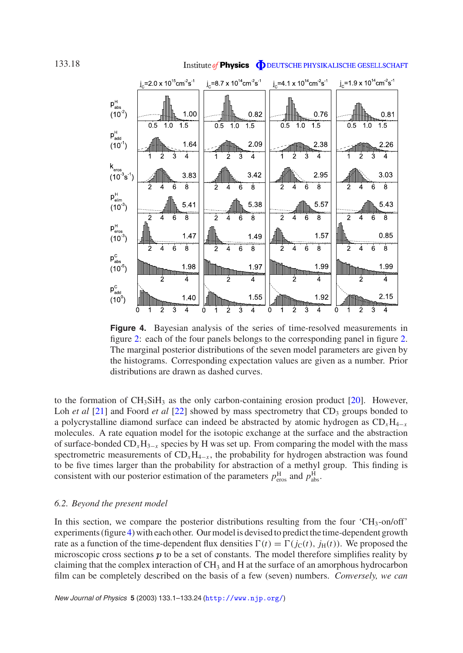<span id="page-17-1"></span>

1.97

À

1.55

Ò

 $\overline{4}$ 

 $\overline{8}$ 

 $\overline{6}$ 

**|| || || || || || || || || || || ||** 

2

 $\overline{2}$ 

 $\mathbf{\hat{z}}$ 

ぅ

 $\overline{2}$  $\overline{\mathbf{4}}$ 

 $\Delta$  $\overline{6}$ 

**III Millimm** 

ż

 $\overline{2}$ 1

#### Institute of **Physics O** DEUTSCHE PHYSIKALISCHE GESELLSCHAFT

 $\overline{2}$ 

 $\overline{4}$ 6  $\overline{8}$ 

 $\overline{4}$ 

IMm

Ż

0.85

 $\overline{8}$ 

1.99

À

2.15

 $\overline{6}$ 

**Him** 

 $\overline{8}$ 

1.57

1.99

1.92

 $\overline{6}$  $\overline{8}$ 

 $\dot{3}$ 

**Figure 4.** Bayesian analysis of the series of time-resolved measurements in figure [2:](#page-5-1) each of the four panels belongs to the corresponding panel in figure [2.](#page-5-1) The marginal posterior distributions of the seven model parameters are given by the histograms. Corresponding expectation values are given as a number. Prior distributions are drawn as dashed curves.

to the formation of  $CH_3SiH_3$  as the only carbon-containing erosion product [\[20\]](#page-23-9). However, Loh *et al* [\[21\]](#page-23-10) and Foord *et al* [\[22\]](#page-23-11) showed by mass spectrometry that CD<sub>3</sub> groups bonded to a polycrystalline diamond surface can indeed be abstracted by atomic hydrogen as CD*x*H4<sup>−</sup>*<sup>x</sup>* molecules. A rate equation model for the isotopic exchange at the surface and the abstraction of surface-bonded  $CD_xH_{3-x}$  species by H was set up. From comparing the model with the mass spectrometric measurements of  $CD_xH_{4-x}$ , the probability for hydrogen abstraction was found to be five times larger than the probability for abstraction of a methyl group. This finding is consistent with our posterior estimation of the parameters  $p_{\text{eros}}^{\text{H}}$  and  $p_{\text{abs}}^{\text{H}}$ .

#### <span id="page-17-0"></span>*6.2. Beyond the present model*

In this section, we compare the posterior distributions resulting from the four  $\rm CH_{3}$ -on/off' experiments (figure [4\)](#page-17-1) with each other. Our model is devised to predict the time-dependent growth rate as a function of the time-dependent flux densities  $\Gamma(t) = \Gamma(j_{\rm C}(t), j_{\rm H}(t))$ . We proposed the microscopic cross sections *p* to be a set of constants. The model therefore simplifies reality by claiming that the complex interaction of CH<sub>3</sub> and H at the surface of an amorphous hydrocarbon film can be completely described on the basis of a few (seven) numbers. *Conversely, we can*

 $\overline{2}$ 

 $\frac{1}{2}$ 

 $p_{\text{eros}}^H$ <br>(10<sup>-3</sup>)

 $p_{\text{abs}}^{\text{C}}$ <br>(10<sup>-5</sup>)

 $p_{\mathsf{add}}^{\mathsf{C}}$ 

 $(10^0)$ 

 $\overline{4}$ 6

 $\overline{4}$ 

**M** 

lliftm

 $\overline{2}$ 

 $\overline{8}$ 

1.47

1.98

1.40

Ò

 $\overline{6}$  $\overline{8}$   $\frac{1}{2}$  $\overline{4}$ 6  $\dot{8}$ 

 $\dot{2}$  $\overline{4}$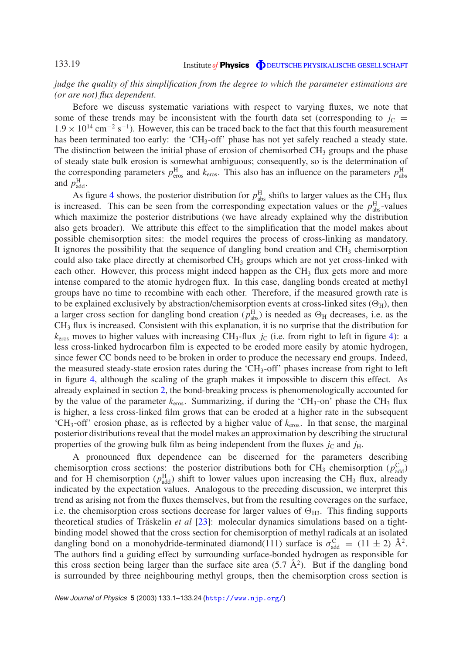#### *judge the quality of this simplification from the degree to which the parameter estimations are (or are not) flux dependent*.

Before we discuss systematic variations with respect to varying fluxes, we note that some of these trends may be inconsistent with the fourth data set (corresponding to  $j_c$ )  $1.9 \times 10^{14}$  cm<sup>-2</sup> s<sup>-1</sup>). However, this can be traced back to the fact that this fourth measurement has been terminated too early: the 'CH<sub>3</sub>-off' phase has not yet safely reached a steady state. The distinction between the initial phase of erosion of chemisorbed  $CH<sub>3</sub>$  groups and the phase of steady state bulk erosion is somewhat ambiguous; consequently, so is the determination of the corresponding parameters  $p_{\text{eros}}^{\text{H}}$  and  $k_{\text{eros}}$ . This also has an influence on the parameters  $p_{\text{abs}}^{\text{H}}$ and  $p_{\text{add}}^{\text{H}}$ .

As figure [4](#page-17-1) shows, the posterior distribution for  $p_{\text{abs}}^{\text{H}}$  shifts to larger values as the CH<sub>3</sub> flux is increased. This can be seen from the corresponding expectation values or the  $p_{\text{abs}}^{\text{H}}$ -values which maximize the posterior distributions (we have already explained why the distribution also gets broader). We attribute this effect to the simplification that the model makes about possible chemisorption sites: the model requires the process of cross-linking as mandatory. It ignores the possibility that the sequence of dangling bond creation and  $CH<sub>3</sub>$  chemisorption could also take place directly at chemisorbed CH<sub>3</sub> groups which are not yet cross-linked with each other. However, this process might indeed happen as the  $CH<sub>3</sub>$  flux gets more and more intense compared to the atomic hydrogen flux. In this case, dangling bonds created at methyl groups have no time to recombine with each other. Therefore, if the measured growth rate is to be explained exclusively by abstraction/chemisorption events at cross-linked sites  $(\Theta_{H})$ , then a larger cross section for dangling bond creation ( $p_{\text{abs}}^{\text{H}}$ ) is needed as  $\Theta_{\text{H}}$  decreases, i.e. as the CH3 flux is increased. Consistent with this explanation, it is no surprise that the distribution for  $k_{\text{eros}}$  moves to higher values with increasing CH<sub>3</sub>-flux  $j_c$  (i.e. from right to left in figure [4\)](#page-17-1): a less cross-linked hydrocarbon film is expected to be eroded more easily by atomic hydrogen, since fewer CC bonds need to be broken in order to produce the necessary end groups. Indeed, the measured steady-state erosion rates during the 'CH<sub>3</sub>-off' phases increase from right to left in figure [4,](#page-17-1) although the scaling of the graph makes it impossible to discern this effect. As already explained in section [2,](#page-2-0) the bond-breaking process is phenomenologically accounted for by the value of the parameter  $k_{\text{eros}}$ . Summarizing, if during the 'CH<sub>3</sub>-on' phase the CH<sub>3</sub> flux is higher, a less cross-linked film grows that can be eroded at a higher rate in the subsequent 'CH<sub>3</sub>-off' erosion phase, as is reflected by a higher value of  $k_{\text{eros}}$ . In that sense, the marginal posterior distributions reveal that the model makes an approximation by describing the structural properties of the growing bulk film as being independent from the fluxes  $j_c$  and  $j_H$ .

A pronounced flux dependence can be discerned for the parameters describing chemisorption cross sections: the posterior distributions both for CH<sub>3</sub> chemisorption ( $p_{\text{add}}^C$ ) and for H chemisorption ( $p_{\text{add}}^{\text{H}}$ ) shift to lower values upon increasing the CH<sub>3</sub> flux, already indicated by the expectation values. Analogous to the preceding discussion, we interpret this trend as arising not from the fluxes themselves, but from the resulting coverages on the surface, i.e. the chemisorption cross sections decrease for larger values of  $\Theta_{H3}$ . This finding supports theoretical studies of Träskelin *et al* [\[23\]](#page-23-12): molecular dynamics simulations based on a tightbinding model showed that the cross section for chemisorption of methyl radicals at an isolated dangling bond on a monohydride-terminated diamond(111) surface is  $\sigma_{\text{add}}^C = (11 \pm 2) \text{ Å}^2$ . The authors find a guiding effect by surrounding surface-bonded hydrogen as responsible for this cross section being larger than the surface site area  $(5.7 \text{ Å}^2)$ . But if the dangling bond is surrounded by three neighbouring methyl groups, then the chemisorption cross section is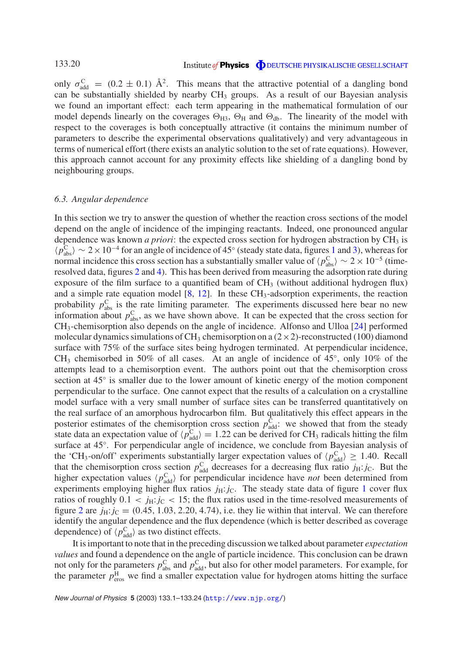only  $\sigma_{\text{add}}^{\text{C}} = (0.2 \pm 0.1) \text{ Å}^2$ . This means that the attractive potential of a dangling bond can be substantially shielded by nearby CH<sub>3</sub> groups. As a result of our Bayesian analysis we found an important effect: each term appearing in the mathematical formulation of our model depends linearly on the coverages  $\Theta_{H3}$ ,  $\Theta_H$  and  $\Theta_{db}$ . The linearity of the model with respect to the coverages is both conceptually attractive (it contains the minimum number of parameters to describe the experimental observations qualitatively) and very advantageous in terms of numerical effort (there exists an analytic solution to the set of rate equations). However, this approach cannot account for any proximity effects like shielding of a dangling bond by neighbouring groups.

#### <span id="page-19-0"></span>*6.3. Angular dependence*

In this section we try to answer the question of whether the reaction cross sections of the model depend on the angle of incidence of the impinging reactants. Indeed, one pronounced angular dependence was known *a priori*: the expected cross section for hydrogen abstraction by CH<sub>3</sub> is  $\langle p_{\text{abs}}^{\text{C}} \rangle \sim 2 \times 10^{-4}$  $\langle p_{\text{abs}}^{\text{C}} \rangle \sim 2 \times 10^{-4}$  $\langle p_{\text{abs}}^{\text{C}} \rangle \sim 2 \times 10^{-4}$  for an angle of incidence of 45° (steady state data, figures 1 and [3\)](#page-15-0), whereas for normal incidence this cross section has a substantially smaller value of  $\langle p_{\rm abs}^{\rm C} \rangle \sim 2 \times 10^{-5}$  (timeresolved data, figures [2](#page-5-1) and [4\)](#page-17-1). This has been derived from measuring the adsorption rate during exposure of the film surface to a quantified beam of  $CH_3$  (without additional hydrogen flux) and a simple rate equation model  $[8, 12]$  $[8, 12]$  $[8, 12]$ . In these  $CH_3$ -adsorption experiments, the reaction probability  $p_{\text{abs}}^{\text{C}}$  is the rate limiting parameter. The experiments discussed here bear no new information about  $p_{\text{abs}}^{\text{C}}$ , as we have shown above. It can be expected that the cross section for CH3-chemisorption also depends on the angle of incidence. Alfonso and Ulloa [\[24\]](#page-23-13) performed molecular dynamics simulations of CH<sub>3</sub> chemisorption on a  $(2 \times 2)$ -reconstructed (100) diamond surface with 75% of the surface sites being hydrogen terminated. At perpendicular incidence, CH<sub>3</sub> chemisorbed in 50% of all cases. At an angle of incidence of  $45°$ , only 10% of the attempts lead to a chemisorption event. The authors point out that the chemisorption cross section at 45<sup>°</sup> is smaller due to the lower amount of kinetic energy of the motion component perpendicular to the surface. One cannot expect that the results of a calculation on a crystalline model surface with a very small number of surface sites can be transferred quantitatively on the real surface of an amorphous hydrocarbon film. But qualitatively this effect appears in the posterior estimates of the chemisorption cross section  $p_{\text{add}}^C$ : we showed that from the steady state data an expectation value of  $\langle p_{\text{add}}^{\text{C}} \rangle = 1.22$  can be derived for CH<sub>3</sub> radicals hitting the film surface at 45◦. For perpendicular angle of incidence, we conclude from Bayesian analysis of the 'CH<sub>3</sub>-on/off' experiments substantially larger expectation values of  $\langle p_{\text{add}}^{\text{C}} \rangle \geq 1.40$ . Recall that the chemisorption cross section  $p_{\text{add}}^C$  decreases for a decreasing flux ratio  $j_H$ : *j*<sub>C</sub>. But the higher expectation values  $\langle p_{\text{add}}^{\text{C}} \rangle$  for perpendicular incidence have *not* been determined from experiments employing higher flux ratios  $j_H$ :  $j_C$ . The steady state data of figure [1](#page-2-1) cover flux ratios of roughly  $0.1 < j_H$ :  $j_C < 15$ ; the flux ratios used in the time-resolved measurements of figure [2](#page-5-1) are  $j_{\text{H}}$ :  $j_{\text{C}} = (0.45, 1.03, 2.20, 4.74)$ , i.e. they lie within that interval. We can therefore identify the angular dependence and the flux dependence (which is better described as coverage dependence) of  $\langle p_{\text{add}}^{\text{C}} \rangle$  as two distinct effects.

It is important to note that in the preceding discussion we talked about parameter *expectation values* and found a dependence on the angle of particle incidence. This conclusion can be drawn not only for the parameters  $p_{\text{abs}}^C$  and  $p_{\text{add}}^C$ , but also for other model parameters. For example, for the parameter  $p_{\text{eros}}^{\text{H}}$  we find a smaller expectation value for hydrogen atoms hitting the surface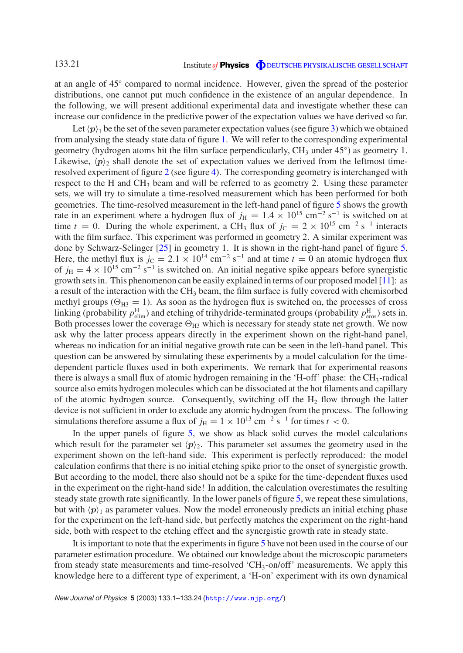at an angle of 45◦ compared to normal incidence. However, given the spread of the posterior distributions, one cannot put much confidence in the existence of an angular dependence. In the following, we will present additional experimental data and investigate whether these can increase our confidence in the predictive power of the expectation values we have derived so far.

Let  $\langle p \rangle_1$  be the set of the seven parameter expectation values (see figure [3\)](#page-15-0) which we obtained from analysing the steady state data of figure [1.](#page-2-1) We will refer to the corresponding experimental geometry (hydrogen atoms hit the film surface perpendicularly,  $CH_3$  under  $45°$ ) as geometry 1. Likewise,  $\langle p \rangle_2$  shall denote the set of expectation values we derived from the leftmost timeresolved experiment of figure [2](#page-5-1) (see figure [4\)](#page-17-1). The corresponding geometry is interchanged with respect to the H and CH<sub>3</sub> beam and will be referred to as geometry 2. Using these parameter sets, we will try to simulate a time-resolved measurement which has been performed for both geometries. The time-resolved measurement in the left-hand panel of figure [5](#page-21-1) shows the growth rate in an experiment where a hydrogen flux of  $j_H = 1.4 \times 10^{15}$  cm<sup>-2</sup> s<sup>-1</sup> is switched on at time *t* = 0. During the whole experiment, a CH<sub>3</sub> flux of  $j_c = 2 \times 10^{15}$  cm<sup>-2</sup> s<sup>-1</sup> interacts with the film surface. This experiment was performed in geometry 2. A similar experiment was done by Schwarz-Selinger [\[25\]](#page-23-14) in geometry 1. It is shown in the right-hand panel of figure [5.](#page-21-1) Here, the methyl flux is  $j_C = 2.1 \times 10^{14}$  cm<sup>-2</sup> s<sup>-1</sup> and at time  $t = 0$  an atomic hydrogen flux of  $j_H = 4 \times 10^{15}$  cm<sup>-2</sup> s<sup>-1</sup> is switched on. An initial negative spike appears before synergistic growth sets in. This phenomenon can be easily explained in terms of our proposed model [\[11\]](#page-23-0): as a result of the interaction with the  $CH_3$  beam, the film surface is fully covered with chemisorbed methyl groups ( $\Theta_{H3} = 1$ ). As soon as the hydrogen flux is switched on, the processes of cross linking (probability  $p_{\text{elim}}^{\text{H}}$ ) and etching of trihydride-terminated groups (probability  $p_{\text{eros}}^{\text{H}}$ ) sets in. Both processes lower the coverage  $\Theta_{H3}$  which is necessary for steady state net growth. We now ask why the latter process appears directly in the experiment shown on the right-hand panel, whereas no indication for an initial negative growth rate can be seen in the left-hand panel. This question can be answered by simulating these experiments by a model calculation for the timedependent particle fluxes used in both experiments. We remark that for experimental reasons there is always a small flux of atomic hydrogen remaining in the 'H-off' phase: the  $CH_3$ -radical source also emits hydrogen molecules which can be dissociated at the hot filaments and capillary of the atomic hydrogen source. Consequently, switching off the  $H_2$  flow through the latter device is not sufficient in order to exclude any atomic hydrogen from the process. The following simulations therefore assume a flux of  $j_H = 1 \times 10^{13}$  cm<sup>-2</sup> s<sup>-1</sup> for times  $t < 0$ .

In the upper panels of figure [5,](#page-21-1) we show as black solid curves the model calculations which result for the parameter set  $\langle p \rangle_2$ . This parameter set assumes the geometry used in the experiment shown on the left-hand side. This experiment is perfectly reproduced: the model calculation confirms that there is no initial etching spike prior to the onset of synergistic growth. But according to the model, there also should not be a spike for the time-dependent fluxes used in the experiment on the right-hand side! In addition, the calculation overestimates the resulting steady state growth rate significantly. In the lower panels of figure [5,](#page-21-1) we repeat these simulations, but with  $\langle p \rangle$  as parameter values. Now the model erroneously predicts an initial etching phase for the experiment on the left-hand side, but perfectly matches the experiment on the right-hand side, both with respect to the etching effect and the synergistic growth rate in steady state.

It is important to note that the experiments in figure [5](#page-21-1) have not been used in the course of our parameter estimation procedure. We obtained our knowledge about the microscopic parameters from steady state measurements and time-resolved 'CH3-on/off' measurements. We apply this knowledge here to a different type of experiment, a 'H-on' experiment with its own dynamical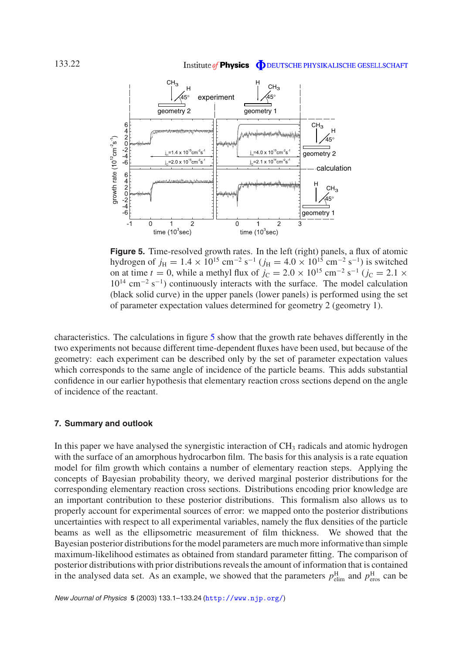<span id="page-21-1"></span>

**Figure 5.** Time-resolved growth rates. In the left (right) panels, a flux of atomic hydrogen of  $j_{\text{H}} = 1.4 \times 10^{15} \text{ cm}^{-2} \text{ s}^{-1}$  ( $j_{\text{H}} = 4.0 \times 10^{15} \text{ cm}^{-2} \text{ s}^{-1}$ ) is switched on at time *t* = 0, while a methyl flux of  $j_c = 2.0 \times 10^{15}$  cm<sup>-2</sup> s<sup>-1</sup> ( $j_c = 2.1 \times$  $10^{14}$  cm<sup>-2</sup> s<sup>-1</sup>) continuously interacts with the surface. The model calculation (black solid curve) in the upper panels (lower panels) is performed using the set of parameter expectation values determined for geometry 2 (geometry 1).

characteristics. The calculations in figure [5](#page-21-1) show that the growth rate behaves differently in the two experiments not because different time-dependent fluxes have been used, but because of the geometry: each experiment can be described only by the set of parameter expectation values which corresponds to the same angle of incidence of the particle beams. This adds substantial confidence in our earlier hypothesis that elementary reaction cross sections depend on the angle of incidence of the reactant.

#### <span id="page-21-0"></span>**7. Summary and outlook**

In this paper we have analysed the synergistic interaction of  $CH<sub>3</sub>$  radicals and atomic hydrogen with the surface of an amorphous hydrocarbon film. The basis for this analysis is a rate equation model for film growth which contains a number of elementary reaction steps. Applying the concepts of Bayesian probability theory, we derived marginal posterior distributions for the corresponding elementary reaction cross sections. Distributions encoding prior knowledge are an important contribution to these posterior distributions. This formalism also allows us to properly account for experimental sources of error: we mapped onto the posterior distributions uncertainties with respect to all experimental variables, namely the flux densities of the particle beams as well as the ellipsometric measurement of film thickness. We showed that the Bayesian posterior distributions for the model parameters are much more informative than simple maximum-likelihood estimates as obtained from standard parameter fitting. The comparison of posterior distributions with prior distributions reveals the amount of information that is contained in the analysed data set. As an example, we showed that the parameters  $p_{\text{elim}}^{\text{H}}$  and  $p_{\text{eros}}^{\text{H}}$  can be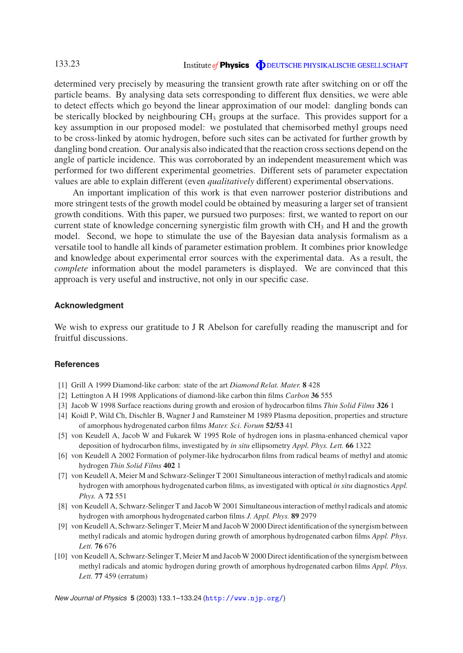#### Institute of **Physics O** DEUTSCHE PHYSIKALISCHE GESELLSCHAFT

determined very precisely by measuring the transient growth rate after switching on or off the particle beams. By analysing data sets corresponding to different flux densities, we were able to detect effects which go beyond the linear approximation of our model: dangling bonds can be sterically blocked by neighbouring  $CH_3$  groups at the surface. This provides support for a key assumption in our proposed model: we postulated that chemisorbed methyl groups need to be cross-linked by atomic hydrogen, before such sites can be activated for further growth by dangling bond creation. Our analysis also indicated that the reaction cross sections depend on the angle of particle incidence. This was corroborated by an independent measurement which was performed for two different experimental geometries. Different sets of parameter expectation values are able to explain different (even *qualitatively* different) experimental observations.

An important implication of this work is that even narrower posterior distributions and more stringent tests of the growth model could be obtained by measuring a larger set of transient growth conditions. With this paper, we pursued two purposes: first, we wanted to report on our current state of knowledge concerning synergistic film growth with  $CH<sub>3</sub>$  and H and the growth model. Second, we hope to stimulate the use of the Bayesian data analysis formalism as a versatile tool to handle all kinds of parameter estimation problem. It combines prior knowledge and knowledge about experimental error sources with the experimental data. As a result, the *complete* information about the model parameters is displayed. We are convinced that this approach is very useful and instructive, not only in our specific case.

#### <span id="page-22-0"></span>**Acknowledgment**

We wish to express our gratitude to J R Abelson for carefully reading the manuscript and for fruitful discussions.

#### <span id="page-22-2"></span><span id="page-22-1"></span>**References**

- <span id="page-22-3"></span>[1] Grill A 1999 Diamond-like carbon: state of the art *Diamond Relat. Mater.* **8** 428
- <span id="page-22-4"></span>[2] Lettington A H 1998 Applications of diamond-like carbon thin films *Carbon* **36** 555
- [3] Jacob W 1998 Surface reactions during growth and erosion of hydrocarbon films *Thin Solid Films* **326** 1
- <span id="page-22-5"></span>[4] Koidl P, Wild Ch, Dischler B, Wagner J and Ramsteiner M 1989 Plasma deposition, properties and structure of amorphous hydrogenated carbon films *Mater. Sci. Forum* **52/53** 41
- [5] von Keudell A, Jacob W and Fukarek W 1995 Role of hydrogen ions in plasma-enhanced chemical vapor deposition of hydrocarbon films, investigated by *in situ* ellipsometry *Appl. Phys. Lett.* **66** 1322
- <span id="page-22-6"></span>[6] von Keudell A 2002 Formation of polymer-like hydrocarbon films from radical beams of methyl and atomic hydrogen *Thin Solid Films* **402** 1
- <span id="page-22-7"></span>[7] von Keudell A, Meier M and Schwarz-Selinger T 2001 Simultaneous interaction of methyl radicals and atomic hydrogen with amorphous hydrogenated carbon films, as investigated with optical *in situ* diagnostics *Appl. Phys.* A **72** 551
- <span id="page-22-9"></span>[8] von Keudell A, Schwarz-Selinger T and Jacob W 2001 Simultaneous interaction of methyl radicals and atomic hydrogen with amorphous hydrogenated carbon films *J. Appl. Phys.* **89** 2979
- [9] von Keudell A, Schwarz-Selinger T, Meier M and Jacob W 2000 Direct identification of the synergism between methyl radicals and atomic hydrogen during growth of amorphous hydrogenated carbon films *Appl. Phys. Lett.* **76** 676
- <span id="page-22-8"></span>[10] von Keudell A, Schwarz-Selinger T, Meier M and Jacob W 2000 Direct identification of the synergism between methyl radicals and atomic hydrogen during growth of amorphous hydrogenated carbon films *Appl. Phys. Lett.* **77** 459 (erratum)